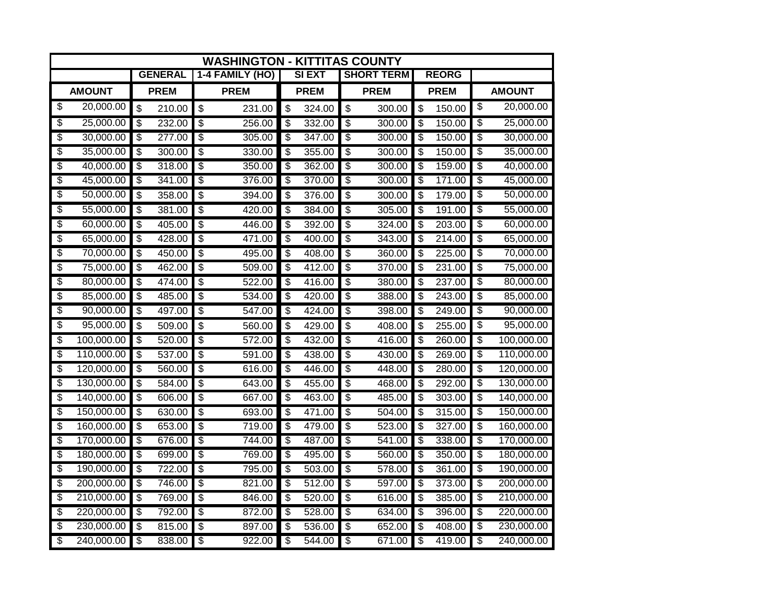|                                      | <b>WASHINGTON - KITTITAS COUNTY</b> |                          |                |                                        |                 |                                        |               |                                        |                   |                            |              |                          |               |
|--------------------------------------|-------------------------------------|--------------------------|----------------|----------------------------------------|-----------------|----------------------------------------|---------------|----------------------------------------|-------------------|----------------------------|--------------|--------------------------|---------------|
|                                      |                                     |                          | <b>GENERAL</b> |                                        | 1-4 FAMILY (HO) |                                        | <b>SI EXT</b> |                                        | <b>SHORT TERM</b> |                            | <b>REORG</b> |                          |               |
|                                      | <b>AMOUNT</b>                       | <b>PREM</b>              |                |                                        | <b>PREM</b>     |                                        | <b>PREM</b>   |                                        | <b>PREM</b>       |                            | <b>PREM</b>  |                          | <b>AMOUNT</b> |
| $\overline{\boldsymbol{\theta}}$     | 20,000.00                           | \$                       | 210.00         | $\boldsymbol{\mathsf{\$}}$             | 231.00          | $\boldsymbol{\theta}$                  | 324.00        | $\boldsymbol{\theta}$                  | 300.00            | \$                         | 150.00       | \$                       | 20,000.00     |
| $\overline{\$}$                      | 25,000.00                           | $\overline{\mathcal{S}}$ | 232.00         | $\overline{\$}$                        | 256.00          | S)                                     | 332.00        | $\overline{\$}$                        | 300.00            | $\overline{\mathbb{S}}$    | 150.00       | $\overline{\mathbb{S}}$  | 25,000.00     |
| $\overline{\mathcal{E}}$             | 30,000.00                           | S                        | 277.00         | $\overline{\$}$                        | 305.00          | $\overline{\boldsymbol{\theta}}$       | 347.00        | $\overline{\boldsymbol{\mathfrak{s}}}$ | 300.00            | $\overline{\mathcal{S}}$   | 150.00       | \$                       | 30,000.00     |
| $\overline{\mathcal{E}}$             | 35,000.00                           | \$                       | 300.00         | $\overline{\boldsymbol{\mathfrak{s}}}$ | 330.00          | $\frac{1}{2}$                          | 355.00        | \$                                     | 300.00            | $\boldsymbol{\mathsf{\$}}$ | 150.00       | $\overline{\$}$          | 35,000.00     |
| $\overline{\mathcal{E}}$             | 40,000.00                           | S                        | 318.00         | $\overline{\$}$                        | 350.00          | \$                                     | 362.00        | $\overline{\$}$                        | 300.00            | s)                         | 159.00       | \$                       | 40,000.00     |
| $\overline{\boldsymbol{\mathsf{z}}}$ | 45,000.00                           | S                        | 341.00         | \$                                     | 376.00          | \$                                     | 370.00        | \$                                     | 300.00            | S                          | 171.00       | \$                       | 45,000.00     |
| $\overline{\$}$                      | 50,000.00                           | \$                       | 358.00         | \$                                     | 394.00          | $\boldsymbol{\theta}$                  | 376.00        | $\boldsymbol{\theta}$                  | 300.00            | $\boldsymbol{\mathsf{S}}$  | 179.00       | \$                       | 50,000.00     |
| $\overline{\mathcal{E}}$             | 55,000.00                           | \$                       | 381.00         | $\overline{\$}$                        | 420.00          | $\frac{1}{2}$                          | 384.00        | $\overline{\boldsymbol{\theta}}$       | 305.00            | $\boldsymbol{\mathsf{S}}$  | 191.00       | \$                       | 55,000.00     |
| $\overline{\$}$                      | 60,000.00                           | $\overline{\mathcal{S}}$ | 405.00         | $\overline{\boldsymbol{\theta}}$       | 446.00          | \$                                     | 392.00        | $\overline{\boldsymbol{\mathfrak{s}}}$ | 324.00            | \$                         | 203.00       | \$                       | 60,000.00     |
| $\overline{\mathcal{E}}$             | 65,000.00                           | $\overline{\mathcal{S}}$ | 428.00         | $\overline{\$}$                        | 471.00          | \$                                     | 400.00        | $\overline{\$}$                        | 343.00            | \$                         | 214.00       | \$                       | 65,000.00     |
| $\overline{\$}$                      | 70,000.00                           | \$                       | 450.00         | $\overline{\$}$                        | 495.00          | \$                                     | 408.00        | \$                                     | 360.00            | \$                         | 225.00       | \$                       | 70,000.00     |
| $\overline{\mathcal{E}}$             | 75,000.00                           | $\overline{\mathcal{S}}$ | 462.00         | \$                                     | 509.00          | $\overline{\boldsymbol{\mathfrak{s}}}$ | 412.00        | s)                                     | 370.00            | \$                         | 231.00       | \$                       | 75,000.00     |
| $\overline{\$}$                      | 80,000.00                           | $\overline{\mathcal{S}}$ | 474.00         | $\overline{\$}$                        | 522.00          | s)                                     | 416.00        | s)                                     | 380.00            | s)                         | 237.00       | \$                       | 80,000.00     |
| $\overline{\mathcal{E}}$             | 85,000.00                           | \$                       | 485.00         | $\overline{\$}$                        | 534.00          | \$                                     | 420.00        | $\overline{\$}$                        | 388.00            | \$                         | 243.00       | \$                       | 85,000.00     |
| $\overline{\$}$                      | 90,000.00                           | $\overline{\mathcal{S}}$ | 497.00         | $\overline{\$}$                        | 547.00          | \$                                     | 424.00        | $\overline{\$}$                        | 398.00            | s)                         | 249.00       | $\overline{\$}$          | 90,000.00     |
| $\overline{\$}$                      | 95,000.00                           | \$                       | 509.00         | \$                                     | 560.00          | \$                                     | 429.00        | $\boldsymbol{\mathsf{S}}$              | 408.00            | \$                         | 255.00       | \$                       | 95,000.00     |
| $\overline{\$}$                      | 100,000.00                          | \$                       | 520.00         | $\overline{\$}$                        | 572.00          | \$                                     | 432.00        | $\boldsymbol{\mathsf{S}}$              | 416.00            | \$                         | 260.00       | \$                       | 100,000.00    |
| $\overline{\$}$                      | 110,000.00                          | \$                       | 537.00         | $\overline{\$}$                        | 591.00          | $\boldsymbol{\mathsf{S}}$              | 438.00        | \$                                     | 430.00            | \$                         | 269.00       | \$                       | 110,000.00    |
| $\overline{\$}$                      | 120,000.00                          | \$                       | 560.00         | $\overline{\$}$                        | 616.00          | \$                                     | 446.00        | $\overline{\$}$                        | 448.00            | \$                         | 280.00       | $\overline{\$}$          | 120,000.00    |
| \$                                   | 130,000.00                          | $\overline{\$}$          | 584.00         | $\overline{\$}$                        | 643.00          | $\overline{\$}$                        | 455.00        | $\overline{\$}$                        | 468.00            | $\overline{\$}$            | 292.00       | \$                       | 130,000.00    |
| $\overline{\mathcal{E}}$             | 140,000.00                          | $\overline{\mathbf{s}}$  | 606.00         | $\overline{\$}$                        | 667.00          | \$                                     | 463.00        | $\overline{\$}$                        | 485.00            | \$                         | 303.00       | \$                       | 140,000.00    |
| $\overline{\$}$                      | 150,000.00                          | \$                       | 630.00         | $\overline{\$}$                        | 693.00          | $\boldsymbol{\mathsf{S}}$              | 471.00        | \$                                     | 504.00            | \$                         | 315.00       | \$                       | 150,000.00    |
| $\overline{\mathcal{E}}$             | 160,000.00                          | $\overline{\$}$          | 653.00         | $\overline{\$}$                        | 719.00          | $\overline{\$}$                        | 479.00        | $\overline{\$}$                        | 523.00            | \$                         | 327.00       | $\overline{\$}$          | 160,000.00    |
| $\overline{\$}$                      | 170,000.00                          | $\overline{\$}$          | 676.00         | $\overline{\$}$                        | 744.00          | $\overline{\mathcal{S}}$               | 487.00        | $\overline{\$}$                        | 541.00            | $\overline{\$}$            | 338.00       | $\overline{\$}$          | 170,000.00    |
| $\overline{\$}$                      | 180,000.00                          | $\overline{\mathcal{S}}$ | 699.00         | $\overline{\$}$                        | 769.00          | $\overline{\boldsymbol{\mathfrak{s}}}$ | 495.00        | $\overline{\boldsymbol{\mathfrak{s}}}$ | 560.00            | $\frac{1}{2}$              | 350.00       | $\overline{\mathcal{E}}$ | 180,000.00    |
| $\overline{\mathcal{C}}$             | 190,000.00                          | $\overline{\$}$          | 722.00         | $\overline{\$}$                        | 795.00          | $\overline{\$}$                        | 503.00        | $\overline{\mathcal{E}}$               | 578.00            | s)                         | 361.00       | $\overline{\$}$          | 190,000.00    |
| $\overline{\mathcal{E}}$             | 200,000.00                          | $\overline{\mathcal{S}}$ | 746.00         | $\overline{\$}$                        | 821.00          | $\overline{\boldsymbol{\theta}}$       | 512.00        | $\overline{\boldsymbol{\mathfrak{s}}}$ | 597.00            | \$                         | 373.00       | \$                       | 200,000.00    |
| $\overline{\boldsymbol{\mathsf{z}}}$ | 210,000.00                          | \$                       | 769.00         | $\overline{\boldsymbol{\theta}}$       | 846.00          | \$                                     | 520.00        | $\overline{\boldsymbol{\theta}}$       | 616.00            | \$                         | 385.00       | \$                       | 210,000.00    |
| $\overline{\mathcal{C}}$             | 220,000.00                          | \$                       | 792.00         | $\overline{\mathcal{E}}$               | 872.00          | \$                                     | 528.00        | $\overline{\$}$                        | 634.00            | \$                         | 396.00       | \$                       | 220,000.00    |
| \$                                   | 230,000.00                          | $\overline{\mathcal{S}}$ | 815.00         | $\overline{\$}$                        | 897.00          | $\overline{\$}$                        | 536.00        | $\overline{\$}$                        | 652.00            | \$                         | 408.00       | \$                       | 230,000.00    |
| $\overline{\$}$                      | 240,000.00                          | $\overline{\mathcal{S}}$ | 838.00         | $\overline{\$}$                        | 922.00          | \$                                     | 544.00        | $\overline{\boldsymbol{\mathfrak{s}}}$ | 671.00            | \$                         | 419.00       | \$                       | 240,000.00    |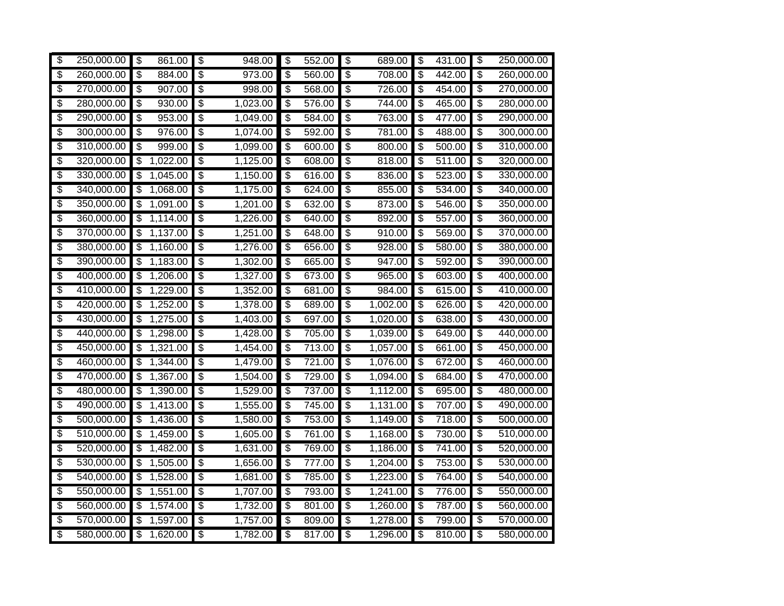| $\overline{\mathcal{S}}$             | 250,000.00 | $\overline{\$}$                        | 861.00   | $\overline{\$}$                  | 948.00   | \$                                     | 552.00 | $\overline{\$}$                        | 689.00   | $\boldsymbol{\theta}$      | 431.00 | $\overline{\$}$ | 250,000.00 |
|--------------------------------------|------------|----------------------------------------|----------|----------------------------------|----------|----------------------------------------|--------|----------------------------------------|----------|----------------------------|--------|-----------------|------------|
| $\overline{\$}$                      | 260,000.00 | \$                                     | 884.00   | $\overline{\mathbf{3}}$          | 973.00   | \$                                     | 560.00 | \$                                     | 708.00   | \$                         | 442.00 | \$              | 260,000.00 |
| $\overline{\$}$                      | 270,000.00 | $\overline{\mathcal{S}}$               | 907.00   | $\overline{\$}$                  | 998.00   | s)                                     | 568.00 | \$                                     | 726.00   | \$                         | 454.00 | \$              | 270,000.00 |
| $\overline{\mathcal{C}}$             | 280,000.00 | \$                                     | 930.00   | $\overline{\mathbf{3}}$          | 1,023.00 | \$                                     | 576.00 | \$                                     | 744.00   | $\boldsymbol{\theta}$      | 465.00 | \$              | 280,000.00 |
| $\overline{\mathcal{C}}$             | 290,000.00 | $\overline{\boldsymbol{\mathfrak{s}}}$ | 953.00   | $\overline{\mathbf{3}}$          | 1,049.00 | \$                                     | 584.00 | $\overline{\boldsymbol{\mathfrak{s}}}$ | 763.00   | $\boldsymbol{\mathsf{\$}}$ | 477.00 | \$              | 290,000.00 |
| \$                                   | 300,000.00 | $\overline{\boldsymbol{\mathfrak{s}}}$ | 976.00   | \$                               | 1,074.00 | s)                                     | 592.00 | \$                                     | 781.00   | s)                         | 488.00 | \$              | 300,000.00 |
| $\overline{\mathcal{E}}$             | 310,000.00 | \$                                     | 999.00   | \$                               | 1,099.00 | s)                                     | 600.00 | $\overline{\mathcal{C}}$               | 800.00   | s)                         | 500.00 | \$              | 310,000.00 |
| $\overline{\mathcal{E}}$             | 320,000.00 | $\boldsymbol{\mathsf{S}}$              | 1,022.00 | $\overline{\mathbf{3}}$          | 1,125.00 | $\boldsymbol{\mathsf{S}}$              | 608.00 | $\overline{\boldsymbol{\theta}}$       | 818.00   | \$                         | 511.00 | \$              | 320,000.00 |
| $\overline{\mathcal{E}}$             | 330,000.00 | $\boldsymbol{\mathsf{S}}$              | 1,045.00 | \$                               | 1,150.00 | \$                                     | 616.00 | $\frac{1}{2}$                          | 836.00   | \$                         | 523.00 | \$              | 330,000.00 |
| $\overline{\mathcal{E}}$             | 340,000.00 | $\overline{\boldsymbol{\mathfrak{s}}}$ | 1,068.00 | $\overline{\$}$                  | 1,175.00 | \$                                     | 624.00 | $\overline{\$}$                        | 855.00   | s)                         | 534.00 | \$              | 340,000.00 |
| \$                                   | 350,000.00 | \$                                     | 1,091.00 | $\overline{\mathbf{3}}$          | 1,201.00 | s)                                     | 632.00 | \$                                     | 873.00   | \$                         | 546.00 | \$              | 350,000.00 |
| $\overline{\mathcal{E}}$             | 360,000.00 | \$                                     | 1,114.00 | $\overline{\mathbf{3}}$          | 1,226.00 | \$                                     | 640.00 | $\overline{\boldsymbol{\mathfrak{s}}}$ | 892.00   | \$                         | 557.00 | \$              | 360,000.00 |
| $\overline{\mathcal{E}}$             | 370,000.00 | $\overline{\boldsymbol{\mathfrak{s}}}$ | 1,137.00 | \$                               | 1,251.00 | \$                                     | 648.00 | $\overline{\boldsymbol{\theta}}$       | 910.00   | \$                         | 569.00 | \$              | 370,000.00 |
| $\overline{\mathcal{E}}$             | 380,000.00 | \$                                     | 1,160.00 | $\overline{\boldsymbol{\theta}}$ | 1,276.00 | \$                                     | 656.00 | \$                                     | 928.00   | \$                         | 580.00 | \$              | 380,000.00 |
| $\overline{\mathcal{E}}$             | 390,000.00 | \$                                     | 1,183.00 | $\overline{\mathbf{e}}$          | 1,302.00 | \$                                     | 665.00 | \$                                     | 947.00   | \$                         | 592.00 | \$              | 390,000.00 |
| $\overline{\mathcal{C}}$             | 400,000.00 | \$                                     | 1,206.00 | \$                               | 1,327.00 | \$                                     | 673.00 | \$                                     | 965.00   | \$                         | 603.00 | \$              | 400,000.00 |
| $\overline{\mathcal{E}}$             | 410,000.00 | \$                                     | 1,229.00 | \$                               | 1,352.00 | \$                                     | 681.00 | \$                                     | 984.00   | \$                         | 615.00 | \$              | 410,000.00 |
| $\overline{\$}$                      | 420,000.00 | $\overline{\$}$                        | 1,252.00 | $\overline{\$}$                  | 1,378.00 | \$                                     | 689.00 | $\overline{\$}$                        | 1,002.00 | s)                         | 626.00 | \$              | 420,000.00 |
| $\overline{\$}$                      | 430,000.00 | $\boldsymbol{\mathsf{S}}$              | 1,275.00 | $\overline{\mathbf{3}}$          | 1,403.00 | $\boldsymbol{\mathsf{S}}$              | 697.00 | \$                                     | 1,020.00 | \$                         | 638.00 | \$              | 430,000.00 |
| $\overline{\mathcal{C}}$             | 440,000.00 | $\overline{\boldsymbol{\mathfrak{s}}}$ | 1,298.00 | $\overline{\mathbf{3}}$          | 1,428.00 | $\overline{\boldsymbol{\mathfrak{s}}}$ | 705.00 | $\overline{\boldsymbol{\theta}}$       | 1,039.00 | \$                         | 649.00 | \$              | 440,000.00 |
| $\overline{\$}$                      | 450,000.00 | \$                                     | 1,321.00 | $\overline{\mathbf{3}}$          | 1,454.00 | \$                                     | 713.00 | $\overline{\$}$                        | 1,057.00 | \$                         | 661.00 | $\overline{\$}$ | 450,000.00 |
| $\overline{\mathcal{C}}$             | 460,000.00 | \$                                     | 1,344.00 | $\overline{\mathbf{3}}$          | 1,479.00 | s)                                     | 721.00 | \$                                     | 1,076.00 | \$                         | 672.00 | \$              | 460,000.00 |
| $\overline{\$}$                      | 470,000.00 | $\overline{\boldsymbol{\mathfrak{s}}}$ | 1,367.00 | $\overline{\mathbf{3}}$          | 1,504.00 | $\overline{\mathfrak{s}}$              | 729.00 | $\overline{\mathfrak{s}}$              | 1,094.00 | \$                         | 684.00 | $\overline{\$}$ | 470,000.00 |
| $\overline{\$}$                      | 480,000.00 | \$                                     | 1,390.00 | $\overline{\mathbf{3}}$          | 1,529.00 | \$                                     | 737.00 | \$                                     | 1,112.00 | \$                         | 695.00 | \$              | 480,000.00 |
| $\overline{\mathcal{E}}$             | 490,000.00 | \$                                     | 1,413.00 | \$                               | 1,555.00 | \$                                     | 745.00 | \$                                     | 1,131.00 | \$                         | 707.00 | \$              | 490,000.00 |
| $\overline{\$}$                      | 500,000.00 | \$                                     | 1,436.00 | $\overline{\mathbf{3}}$          | 1,580.00 | \$                                     | 753.00 | $\overline{\boldsymbol{\theta}}$       | 1,149.00 | \$                         | 718.00 | \$              | 500,000.00 |
| $\overline{\mathcal{C}}$             | 510,000.00 | \$                                     | 1,459.00 | $\overline{\mathbf{3}}$          | 1,605.00 | $\boldsymbol{\mathsf{\$}}$             | 761.00 | $\overline{\boldsymbol{\theta}}$       | 1,168.00 | \$                         | 730.00 | \$              | 510,000.00 |
| $\overline{\mathcal{C}}$             | 520,000.00 | $\overline{\boldsymbol{\mathfrak{s}}}$ | 1,482.00 | $\overline{\$}$                  | 1,631.00 | \$                                     | 769.00 | $\overline{\$}$                        | 1,186.00 | \$                         | 741.00 | \$              | 520,000.00 |
| $\overline{\$}$                      | 530,000.00 | $\overline{\mathcal{S}}$               | 1,505.00 | $\overline{\$}$                  | 1,656.00 | s)                                     | 777.00 | $\overline{\$}$                        | 1,204.00 | s)                         | 753.00 | $\overline{\$}$ | 530,000.00 |
| $\overline{\mathcal{C}}$             | 540,000.00 | \$                                     | 1,528.00 | $\overline{\mathbf{3}}$          | 1,681.00 | \$                                     | 785.00 | \$                                     | 1,223.00 | \$                         | 764.00 | \$              | 540,000.00 |
| $\overline{\mathcal{C}}$             | 550,000.00 | $\frac{1}{2}$                          | 1,551.00 | $\overline{\mathbf{3}}$          | 1,707.00 | \$                                     | 793.00 | $\overline{\$}$                        | 1,241.00 | $\boldsymbol{\mathsf{\$}}$ | 776.00 | \$              | 550,000.00 |
| $\overline{\boldsymbol{\mathsf{z}}}$ | 560,000.00 | \$                                     | 1,574.00 | $\overline{\mathcal{E}}$         | 1,732.00 | \$                                     | 801.00 | $\overline{\$}$                        | 1,260.00 | s)                         | 787.00 | \$              | 560,000.00 |
| \$                                   | 570,000.00 | \$                                     | 1,597.00 | \$                               | 1,757.00 | \$                                     | 809.00 | \$                                     | 1,278.00 | \$                         | 799.00 | \$              | 570,000.00 |
| $\overline{\mathcal{S}}$             | 580,000.00 | $\overline{\mathcal{S}}$               | 1,620.00 | $\frac{1}{2}$                    | 1,782.00 | \$                                     | 817.00 | \$                                     | 1,296.00 | \$                         | 810.00 | $\overline{\$}$ | 580,000.00 |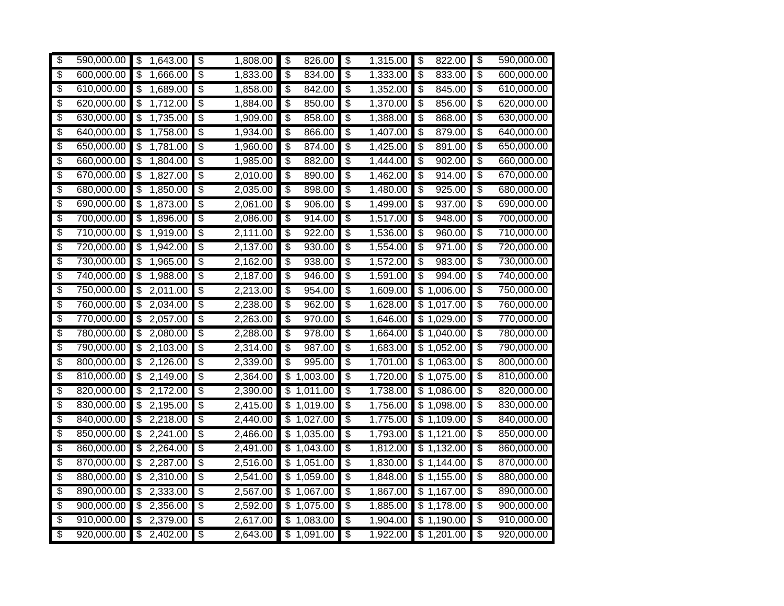| $\overline{\mathcal{E}}$             | 590,000.00 | $\boldsymbol{\mathsf{S}}$<br>1,643.00        | $\overline{\$}$                        | 1,808.00 | \$                                     | 826.00   | $\overline{\$}$                  | 1,315.00 | $\boldsymbol{\theta}$     | 822.00                  | $\overline{\$}$          | 590,000.00 |
|--------------------------------------|------------|----------------------------------------------|----------------------------------------|----------|----------------------------------------|----------|----------------------------------|----------|---------------------------|-------------------------|--------------------------|------------|
| $\overline{\$}$                      | 600,000.00 | $\overline{\mathcal{S}}$<br>1,666.00         | S,                                     | 1,833.00 | s)                                     | 834.00   | s)                               | 1,333.00 | \$                        | 833.00                  | \$                       | 600,000.00 |
| $\overline{\$}$                      | 610,000.00 | 1,689.00<br>\$                               | $\overline{\$}$                        | 1,858.00 | \$                                     | 842.00   | \$                               | 1,352.00 | \$                        | 845.00                  | \$                       | 610,000.00 |
| $\overline{\$}$                      | 620,000.00 | 1,712.00<br>\$                               | $\overline{\boldsymbol{\theta}}$       | 1,884.00 | \$                                     | 850.00   | \$                               | 1,370.00 | \$                        | 856.00                  | \$                       | 620,000.00 |
| $\overline{\boldsymbol{\mathsf{z}}}$ | 630,000.00 | $\boldsymbol{\mathsf{S}}$<br>1,735.00        | \$                                     | 1,909.00 | \$                                     | 858.00   | s)                               | 1,388.00 | \$                        | 868.00                  | \$                       | 630,000.00 |
| $\overline{\mathcal{E}}$             | 640,000.00 | \$<br>1,758.00                               | $\overline{\mathcal{E}}$               | 1,934.00 | $\overline{\$}$                        | 866.00   | $\overline{\mathcal{E}}$         | 1,407.00 | $\overline{\$}$           | 879.00                  | \$                       | 640,000.00 |
| $\overline{\$}$                      | 650,000.00 | 1,781.00<br>\$                               | $\overline{\$}$                        | 1,960.00 | s)                                     | 874.00   | $\overline{\$}$                  | 1,425.00 | \$                        | 891.00                  | \$                       | 650,000.00 |
| $\overline{\boldsymbol{\mathsf{z}}}$ | 660,000.00 | $\boldsymbol{\mathsf{S}}$<br>1,804.00        | $\overline{\mathbf{S}}$                | 1,985.00 | $\frac{1}{2}$                          | 882.00   | $\frac{1}{2}$                    | 1,444.00 | \$                        | 902.00                  | \$                       | 660,000.00 |
| $\overline{\$}$                      | 670,000.00 | 1,827.00<br>\$                               | $\overline{\boldsymbol{\theta}}$       | 2,010.00 | s)                                     | 890.00   | \$                               | 1,462.00 | \$                        | 914.00                  | \$                       | 670,000.00 |
| $\overline{\boldsymbol{\mathsf{z}}}$ | 680,000.00 | $\overline{\mathcal{S}}$<br>1,850.00         | $\overline{\mathcal{C}}$               | 2,035.00 | s)                                     | 898.00   | $\overline{\mathcal{E}}$         | 1,480.00 | \$                        | 925.00                  | $\overline{\$}$          | 680,000.00 |
| $\overline{\$}$                      | 690,000.00 | \$<br>1,873.00                               | \$                                     | 2,061.00 | s)                                     | 906.00   | \$                               | 1,499.00 | \$                        | 937.00                  | \$                       | 690,000.00 |
| $\overline{\boldsymbol{\mathsf{z}}}$ | 700,000.00 | \$<br>1,896.00                               | $\overline{\boldsymbol{\theta}}$       | 2,086.00 | \$                                     | 914.00   | $\overline{\boldsymbol{\theta}}$ | 1,517.00 | \$                        | 948.00                  | \$                       | 700,000.00 |
| $\overline{\$}$                      | 710,000.00 | $\boldsymbol{\mathsf{S}}$<br>1,919.00        | $\overline{\mathbf{3}}$                | 2,111.00 | $\overline{\boldsymbol{\mathfrak{s}}}$ | 922.00   | s)                               | 1,536.00 | $\boldsymbol{\mathsf{S}}$ | 960.00                  | \$                       | 710,000.00 |
| $\overline{\mathcal{E}}$             | 720,000.00 | 1,942.00<br>S                                | $\overline{\mathcal{C}}$               | 2,137.00 | $\overline{\mathcal{S}}$               | 930.00   | $\overline{\$}$                  | 1,554.00 | s)                        | 971.00                  | $\overline{\$}$          | 720,000.00 |
| $\overline{\$}$                      | 730,000.00 | \$<br>1,965.00                               | \$                                     | 2,162.00 | $\boldsymbol{\mathsf{S}}$              | 938.00   | s)                               | 1,572.00 | \$                        | 983.00                  | \$                       | 730,000.00 |
| $\overline{\mathcal{E}}$             | 740,000.00 | \$.<br>1,988.00                              | \$                                     | 2,187.00 | \$                                     | 946.00   | $\boldsymbol{\mathsf{S}}$        | 1,591.00 | \$                        | 994.00                  | $\overline{\$}$          | 740,000.00 |
| $\overline{\boldsymbol{\mathsf{z}}}$ | 750,000.00 | \$<br>2,011.00                               | $\overline{\$}$                        | 2,213.00 | \$                                     | 954.00   | \$                               | 1,609.00 | \$                        | 1,006.00                | \$                       | 750,000.00 |
| $\overline{\$}$                      | 760,000.00 | $\overline{\boldsymbol{\theta}}$<br>2,034.00 | s)                                     | 2,238.00 | \$                                     | 962.00   | s)                               | 1,628.00 |                           | \$1,017.00              | \$                       | 760,000.00 |
| $\overline{\$}$                      | 770,000.00 | 2,057.00<br>\$                               | \$                                     | 2,263.00 | s)                                     | 970.00   | \$                               | 1,646.00 |                           | $\overline{\$1,029.00}$ | $\overline{\$}$          | 770,000.00 |
| $\overline{\mathcal{E}}$             | 780,000.00 | $\boldsymbol{\mathsf{S}}$<br>2,080.00        | \$                                     | 2,288.00 | $\boldsymbol{\mathsf{S}}$              | 978.00   | s)                               | 1,664.00 |                           | $\overline{\$1,040.00}$ | $\overline{\$}$          | 780,000.00 |
| $\overline{\mathcal{E}}$             | 790,000.00 | 2,103.00<br>\$                               | $\overline{\mathcal{C}}$               | 2,314.00 | \$                                     | 987.00   | $\overline{\$}$                  | 1,683.00 |                           | \$1,052.00              | \$                       | 790,000.00 |
| $\overline{\boldsymbol{\mathsf{z}}}$ | 800,000.00 | \$<br>2,126.00                               | $\overline{\$}$                        | 2,339.00 | \$                                     | 995.00   | $\overline{\$}$                  | 1,701.00 |                           | \$1,063.00              | \$                       | 800,000.00 |
| $\overline{\mathcal{C}}$             | 810,000.00 | \$<br>2,149.00                               | $\overline{\boldsymbol{\mathfrak{s}}}$ | 2,364.00 | $\frac{1}{2}$                          | 1,003.00 | s)                               | 1,720.00 |                           | \$1,075.00              | \$                       | 810,000.00 |
| $\overline{\mathcal{E}}$             | 820,000.00 | 2,172.00<br>\$                               | \$                                     | 2,390.00 | \$                                     | 1,011.00 | \$                               | 1,738.00 |                           | \$1,086.00              | $\overline{\$}$          | 820,000.00 |
| $\overline{\boldsymbol{\mathsf{z}}}$ | 830,000.00 | \$<br>2,195.00                               | $\overline{\mathcal{E}}$               | 2,415.00 | \$                                     | 1,019.00 | $\overline{\$}$                  | 1,756.00 |                           | \$1,098.00              | \$                       | 830,000.00 |
| $\overline{\mathcal{E}}$             | 840,000.00 | \$<br>2,218.00                               | \$                                     | 2,440.00 | \$                                     | 1,027.00 | \$                               | 1,775.00 |                           | \$1,109.00              | $\overline{\mathcal{E}}$ | 840,000.00 |
| $\overline{\$}$                      | 850,000.00 | \$<br>2,241.00                               | $\overline{\boldsymbol{\theta}}$       | 2,466.00 | \$                                     | 1,035.00 | $\overline{\boldsymbol{\theta}}$ | 1,793.00 |                           | \$1,121.00              | \$                       | 850,000.00 |
| $\overline{\mathcal{C}}$             | 860,000.00 | $\overline{\boldsymbol{\theta}}$<br>2,264.00 | \$                                     | 2,491.00 | $\overline{\mathbf{3}}$                | 1,043.00 | \$                               | 1,812.00 |                           | \$1,132.00              | \$                       | 860,000.00 |
| $\overline{\$}$                      | 870,000.00 | 2,287.00<br>S                                | $\overline{\mathcal{S}}$               | 2,516.00 | $\overline{\mathcal{S}}$               | 1,051.00 | $\overline{\mathcal{S}}$         | 1,830.00 |                           | \$1,144.00              | $\overline{\$}$          | 870,000.00 |
| $\overline{\$}$                      | 880,000.00 | \$<br>2,310.00                               | \$                                     | 2,541.00 | $\boldsymbol{\mathsf{S}}$              | 1,059.00 | $\overline{\boldsymbol{\theta}}$ | 1,848.00 |                           | \$1,155.00              | $\overline{\$}$          | 880,000.00 |
| $\overline{\mathcal{E}}$             | 890,000.00 | \$<br>2,333.00                               | \$                                     | 2,567.00 | \$                                     | 1,067.00 | $\overline{\$}$                  | 1,867.00 |                           | \$1,167.00              | $\overline{\mathcal{E}}$ | 890,000.00 |
| $\overline{\$}$                      | 900,000.00 | \$<br>2,356.00                               | $\overline{\$}$                        | 2,592.00 | \$                                     | 1,075.00 | $\overline{\$}$                  | 1,885.00 |                           | \$1,178.00              | \$                       | 900,000.00 |
| \$                                   | 910,000.00 | \$<br>2,379.00                               | \$                                     | 2,617.00 | $\overline{\mathbf{S}}$                | 1,083.00 | \$                               | 1,904.00 |                           | \$1,190.00              | \$                       | 910,000.00 |
| $\overline{\$}$                      | 920,000.00 | $\overline{\mathcal{S}}$<br>2,402.00         | \$                                     | 2,643.00 | \$                                     | 1,091.00 | s)                               | 1,922.00 |                           | \$1,201.00              | S                        | 920,000.00 |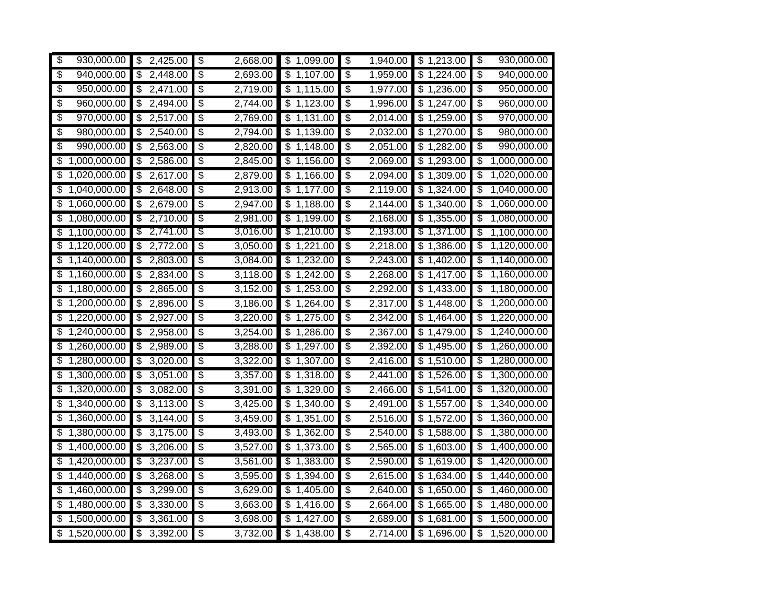| $\overline{\$}$<br>930,000.00                    | \$<br>2,425.00                               | s)<br>2,668.00                               | \$<br>1,099.00                       | s)                                     | 1,940.00 | \$1,213.00               | $\overline{\$}$<br>930,000.00           |
|--------------------------------------------------|----------------------------------------------|----------------------------------------------|--------------------------------------|----------------------------------------|----------|--------------------------|-----------------------------------------|
| $\overline{\mathcal{E}}$<br>940,000.00           | \$<br>2,448.00                               | \$<br>2,693.00                               | \$<br>1,107.00                       | $\frac{1}{2}$                          | 1,959.00 | \$1,224.00               | \$<br>940,000.00                        |
| $\overline{\$}$<br>950,000.00                    | 2,471.00<br>\$                               | $\overline{\$}$<br>2,719.00                  | \$1,115.00                           | $\overline{\mathbf{3}}$                | 1,977.00 | \$1,236.00               | $\overline{\$}$<br>950,000.00           |
| $\overline{\$}$<br>960,000.00                    | \$<br>2,494.00                               | $\overline{\mathbf{e}}$<br>2,744.00          | \$<br>1,123.00                       | \$                                     | 1,996.00 | $\overline{\$}$ 1,247.00 | \$<br>960,000.00                        |
| $\overline{\mathcal{E}}$<br>970,000.00           | \$<br>2,517.00                               | \$<br>2,769.00                               | 1,131.00<br>\$                       | \$                                     | 2,014.00 | \$1,259.00               | \$<br>970,000.00                        |
| $\overline{\mathcal{E}}$<br>980,000.00           | \$<br>2,540.00                               | $\overline{\mathcal{E}}$<br>2,794.00         | \$<br>1,139.00                       | $\overline{\mathcal{E}}$               | 2,032.00 | \$1,270.00               | \$<br>980,000.00                        |
| $\overline{\$}$<br>990,000.00                    | 2,563.00<br>\$                               | \$<br>2,820.00                               | \$<br>1,148.00                       | \$                                     | 2,051.00 | \$1,282.00               | \$<br>990,000.00                        |
| 1,000,000.00<br>\$                               | 2,586.00<br>\$                               | $\overline{\mathbf{3}}$<br>2,845.00          | 1,156.00<br>\$                       | $\overline{\boldsymbol{\mathfrak{s}}}$ | 2,069.00 | \$1,293.00               | \$<br>1,000,000.00                      |
| 1,020,000.00<br>\$                               | 2,617.00<br>\$                               | $\overline{\boldsymbol{\theta}}$<br>2,879.00 | 1,166.00<br>\$                       | \$                                     | 2,094.00 | \$1,309.00               | $\overline{\mathbf{e}}$<br>1,020,000.00 |
| 1,040,000.00<br>\$                               | 2,648.00<br>\$                               | \$<br>2,913.00                               | \$<br>1,177.00                       | $\overline{\mathcal{C}}$               | 2,119.00 | \$1,324.00               | \$<br>1,040,000.00                      |
| 1,060,000.00<br>\$                               | \$<br>2,679.00                               | $\overline{\$}$<br>2,947.00                  | \$<br>1,188.00                       | $\overline{\$}$                        | 2,144.00 | \$1,340.00               | \$<br>1,060,000.00                      |
| 1,080,000.00<br>\$                               | \$<br>2,710.00                               | s)<br>2,981.00                               | \$<br>1,199.00                       | $\overline{\boldsymbol{\mathfrak{s}}}$ | 2,168.00 | \$1,355.00               | \$<br>1,080,000.00                      |
| 1,100,000.00<br>\$                               | \$<br>2,741.00                               | \$<br>3,016.00                               | 1,210.00<br>\$                       | \$                                     | 2,193.00 | \$1,371.00               | \$<br>1,100,000.00                      |
| 1,120,000.00<br>\$                               | \$<br>2,772.00                               | $\overline{\mathcal{C}}$<br>3,050.00         | 1,221.00<br>\$                       | \$                                     | 2,218.00 | \$1,386.00               | \$<br>1,120,000.00                      |
| 1,140,000.00<br>\$                               | \$<br>2,803.00                               | $\overline{\boldsymbol{\theta}}$<br>3,084.00 | \$<br>1,232.00                       | \$                                     | 2,243.00 | \$1,402.00               | \$<br>1,140,000.00                      |
| 1,160,000.00<br>\$                               | $\boldsymbol{\mathsf{S}}$<br>2,834.00        | $\overline{\boldsymbol{\theta}}$<br>3,118.00 | 1,242.00<br>\$                       | $\overline{\boldsymbol{\theta}}$       | 2,268.00 | $\overline{$}1,417.00$   | \$<br>1,160,000.00                      |
| $\overline{\boldsymbol{\theta}}$<br>1,180,000.00 | \$<br>2,865.00                               | \$<br>3,152.00                               | \$<br>1,253.00                       | $\overline{\$}$                        | 2,292.00 | \$1,433.00               | \$<br>1,180,000.00                      |
| 1,200,000.00<br>\$                               | \$<br>2,896.00                               | \$<br>3,186.00                               | \$<br>1,264.00                       | \$                                     | 2,317.00 | \$1,448.00               | \$<br>1,200,000.00                      |
| 1,220,000.00<br>\$                               | \$<br>2,927.00                               | \$<br>3,220.00                               | \$<br>1,275.00                       | \$                                     | 2,342.00 | $\overline{3}$ 1,464.00  | \$<br>1,220,000.00                      |
| 1,240,000.00<br>\$                               | \$<br>2,958.00                               | \$<br>3,254.00                               | 1,286.00<br>\$                       | \$                                     | 2,367.00 | \$1,479.00               | \$<br>1,240,000.00                      |
| 1,260,000.00<br>\$                               | 2,989.00<br>S                                | $\overline{\$}$<br>3,288.00                  | 1,297.00<br>\$                       | $\overline{\$}$                        | 2,392.00 | \$1,495.00               | \$<br>1,260,000.00                      |
| $\overline{\boldsymbol{\theta}}$<br>1,280,000.00 | \$<br>3,020.00                               | $\overline{\boldsymbol{\theta}}$<br>3,322.00 | \$<br>1,307.00                       | $\overline{\boldsymbol{\theta}}$       | 2,416.00 | \$1,510.00               | \$<br>1,280,000.00                      |
| 1,300,000.00<br>$\overline{\mathbf{S}}$          | 3,051.00<br>\$                               | \$<br>3,357.00                               | 1,318.00<br>\$                       | $\overline{\boldsymbol{\mathfrak{s}}}$ | 2,441.00 | \$1,526.00               | $\overline{\$}$<br>1,300,000.00         |
| 1,320,000.00<br>\$                               | 3,082.00<br>\$                               | $\overline{\mathcal{E}}$<br>3,391.00         | \$<br>1,329.00                       | \$                                     | 2,466.00 | \$1,541.00               | \$<br>1,320,000.00                      |
| 1,340,000.00<br>\$                               | \$<br>3,113.00                               | \$<br>3,425.00                               | 1,340.00<br>\$                       | \$                                     | 2,491.00 | \$1,557.00               | \$<br>1,340,000.00                      |
| 1,360,000.00<br>\$                               | \$<br>3,144.00                               | $\overline{\$}$<br>3,459.00                  | 1,351.00<br>\$                       | \$                                     | 2,516.00 | \$1,572.00               | 1,360,000.00<br>\$                      |
| 1,380,000.00<br>\$                               | \$<br>3,175.00                               | \$<br>3,493.00                               | \$<br>1,362.00                       | $\overline{\boldsymbol{\theta}}$       | 2,540.00 | \$1,588.00               | \$<br>1,380,000.00                      |
| 1,400,000.00<br>\$                               | $\overline{\boldsymbol{\theta}}$<br>3,206.00 | $\overline{\$}$<br>3,527.00                  | $\overline{\mathcal{G}}$<br>1,373.00 | \$                                     | 2,565.00 | \$1,603.00               | $\overline{\$}$<br>1,400,000.00         |
| 1,420,000.00<br>\$                               | 3,237.00<br>\$                               | $\overline{\mathbf{e}}$<br>3,561.00          | \$<br>1,383.00                       | \$                                     | 2,590.00 | \$1,619.00               | \$<br>1,420,000.00                      |
| 1,440,000.00<br>\$                               | \$<br>3,268.00                               | $\overline{\mathbf{3}}$<br>3,595.00          | 1,394.00<br>\$                       | \$                                     | 2,615.00 | \$1,634.00               | \$<br>1,440,000.00                      |
| \$<br>1,460,000.00                               | S<br>3,299.00                                | $\overline{\mathcal{E}}$<br>3,629.00         | \$<br>1,405.00                       | $\overline{\mathcal{E}}$               | 2,640.00 | \$1,650.00               | \$<br>1,460,000.00                      |
| 1,480,000.00<br>\$                               | 3,330.00<br>\$                               | $\overline{\mathbf{e}}$<br>3,663.00          | \$<br>1,416.00                       | \$                                     | 2,664.00 | \$1,665.00               | \$<br>1,480,000.00                      |
| 1,500,000.00<br>$\overline{\boldsymbol{\theta}}$ | 3,361.00<br>\$                               | $\overline{\mathbf{3}}$<br>3,698.00          | 1,427.00<br>\$                       | $\overline{\mathbf{3}}$                | 2,689.00 | \$1,681.00               | \$<br>1,500,000.00                      |
| \$<br>1,520,000.00                               | \$<br>3,392.00                               | $\overline{\boldsymbol{\theta}}$<br>3,732.00 | \$<br>1,438.00                       | $\overline{\boldsymbol{\theta}}$       | 2,714.00 | \$1,696.00               | \$<br>1,520,000.00                      |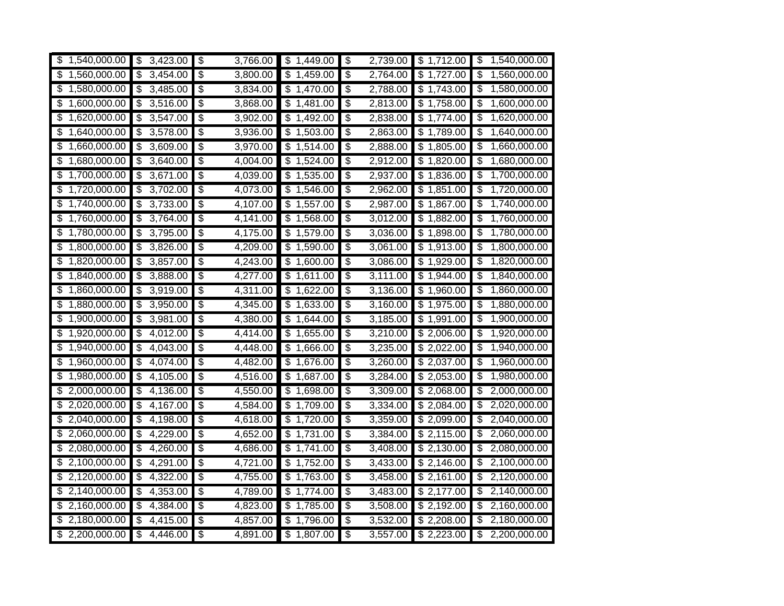| \$                 | \$                                   | \$                                           | \$                        | \$                                     | \$1,712.00              | \$                       |
|--------------------|--------------------------------------|----------------------------------------------|---------------------------|----------------------------------------|-------------------------|--------------------------|
| 1,540,000.00       | 3,423.00                             | 3,766.00                                     | 1,449.00                  | 2,739.00                               |                         | 1,540,000.00             |
| 1,560,000.00       | $\boldsymbol{\mathsf{S}}$            | s)                                           | \$                        | s)                                     | \$1,727.00              | $\overline{\mathbf{e}}$  |
| \$                 | 3,454.00                             | 3,800.00                                     | 1,459.00                  | 2,764.00                               |                         | 1,560,000.00             |
| 1,580,000.00       | 3,485.00                             | $\overline{\mathcal{E}}$                     | 1,470.00                  | \$                                     | \$1,743.00              | $\overline{\mathbf{3}}$  |
| \$                 | \$                                   | 3,834.00                                     | \$                        | 2,788.00                               |                         | 1,580,000.00             |
| \$                 | 3,516.00                             | $\overline{\boldsymbol{\theta}}$             | \$                        | $\overline{\boldsymbol{\mathfrak{s}}}$ | \$1,758.00              | $\overline{\mathcal{E}}$ |
| 1,600,000.00       | \$                                   | 3,868.00                                     | 1,481.00                  | 2,813.00                               |                         | 1,600,000.00             |
| 1,620,000.00       | 3,547.00                             | \$                                           | 1,492.00                  | \$                                     | \$1,774.00              | $\overline{\mathbf{e}}$  |
| \$                 | \$                                   | 3,902.00                                     | \$                        | 2,838.00                               |                         | 1,620,000.00             |
| \$                 | \$                                   | $\overline{\boldsymbol{\theta}}$             | \$                        | \$                                     | \$                      | \$                       |
| 1,640,000.00       | 3,578.00                             | 3,936.00                                     | 1,503.00                  | 2,863.00                               | 1,789.00                | 1,640,000.00             |
| 1,660,000.00       | \$                                   | $\overline{\mathcal{E}}$                     | \$                        | $\overline{\mathcal{E}}$               | \$1,805.00              | $\overline{\mathbf{e}}$  |
| \$                 | 3,609.00                             | 3,970.00                                     | 1,514.00                  | 2,888.00                               |                         | 1,660,000.00             |
| 1,680,000.00       | $\boldsymbol{\mathsf{S}}$            | \$                                           | 1,524.00                  | $\frac{1}{2}$                          | \$1,820.00              | $\overline{\mathbf{e}}$  |
| \$                 | 3,640.00                             | 4,004.00                                     | \$                        | 2,912.00                               |                         | 1,680,000.00             |
| 1,700,000.00       | 3,671.00                             | $\overline{\boldsymbol{\theta}}$             | $\overline{1,}535.00$     | \$                                     | \$1,836.00              | $\overline{\mathbf{e}}$  |
| \$                 | \$                                   | 4,039.00                                     | \$                        | 2,937.00                               |                         | 1,700,000.00             |
| 1,720,000.00       | 3,702.00                             | $\overline{\mathcal{E}}$                     | $\overline{\mathcal{S}}$  | $\overline{\mathcal{E}}$               | $\overline{\mathbf{3}}$ | $\overline{\$}$          |
| \$                 | \$                                   | 4,073.00                                     | 1,546.00                  | 2,962.00                               | 1,851.00                | 1,720,000.00             |
| 1,740,000.00       | \$                                   | $\overline{\mathcal{C}}$                     | \$                        | \$                                     | 1,867.00                | $\overline{\mathbf{e}}$  |
| \$                 | 3,733.00                             | 4,107.00                                     | 1,557.00                  | 2,987.00                               | \$                      | 1,740,000.00             |
| 1,760,000.00       | \$                                   | \$                                           | \$                        | \$                                     | \$                      | \$                       |
| \$                 | 3,764.00                             | 4,141.00                                     | 1,568.00                  | 3,012.00                               | 1,882.00                | 1,760,000.00             |
| 1,780,000.00       | 3,795.00                             | $\overline{\mathcal{S}}$                     | 1,579.00                  | $\overline{\boldsymbol{\mathfrak{s}}}$ | \$1,898.00              | $\overline{\mathbf{e}}$  |
| \$                 | \$                                   | 4,175.00                                     | $\boldsymbol{\mathsf{S}}$ | 3,036.00                               |                         | 1,780,000.00             |
| 1,800,000.00       | \$                                   | $\overline{\boldsymbol{\theta}}$             | 1,590.00                  | $\overline{\boldsymbol{\theta}}$       | \$1,913.00              | $\overline{\mathbf{e}}$  |
| \$                 | 3,826.00                             | 4,209.00                                     | \$                        | 3,061.00                               |                         | 1,800,000.00             |
| 1,820,000.00       | \$                                   | \$                                           | \$                        | $\overline{\boldsymbol{\mathfrak{s}}}$ | \$1,929.00              | $\overline{\mathbf{e}}$  |
| \$                 | 3,857.00                             | 4,243.00                                     | 1,600.00                  | 3,086.00                               |                         | 1,820,000.00             |
| \$                 | \$                                   | \$                                           | $\frac{1}{2}$             | \$                                     | $\overline{$}1,944.00$  | $\overline{\mathbf{e}}$  |
| 1,840,000.00       | 3,888.00                             | 4,277.00                                     | 1,611.00                  | 3,111.00                               |                         | 1,840,000.00             |
| 1,860,000.00       | \$                                   | $\overline{\boldsymbol{\theta}}$             | $\overline{\mathbf{e}}$   | $\overline{\boldsymbol{\theta}}$       | \$1,960.00              | \$                       |
| \$                 | 3,919.00                             | 4,311.00                                     | 1,622.00                  | 3,136.00                               |                         | 1,860,000.00             |
| 1,880,000.00       | \$                                   | $\overline{\mathcal{E}}$                     | $\overline{\mathbf{3}}$   | $\overline{\mathcal{E}}$               | \$1,975.00              | $\overline{\$}$          |
| \$                 | 3,950.00                             | 4,345.00                                     | 1,633.00                  | 3,160.00                               |                         | 1,880,000.00             |
| 1,900,000.00       | \$                                   | \$                                           | $\overline{1,644.00}$     | \$                                     | \$1,991.00              | $\overline{\mathbf{e}}$  |
| \$                 | 3,981.00                             | 4,380.00                                     | \$                        | 3,185.00                               |                         | 1,900,000.00             |
| 1,920,000.00       | \$                                   | \$                                           | \$                        | \$                                     | \$2,006.00              | \$                       |
| \$                 | 4,012.00                             | 4,414.00                                     | 1,655.00                  | 3,210.00                               |                         | 1,920,000.00             |
| 1,940,000.00       | 4,043.00                             | $\overline{\$}$                              | \$                        | $\overline{\$}$                        | $\overline{$}$ 2,022.00 | $\overline{\$}$          |
| \$                 | \$                                   | 4,448.00                                     | 1,666.00                  | 3,235.00                               |                         | 1,940,000.00             |
| 1,960,000.00       | \$                                   | $\overline{\boldsymbol{\theta}}$             | $\overline{\mathbf{e}}$   | \$                                     | \$2,037.00              | \$                       |
| \$                 | 4,074.00                             | 4,482.00                                     | 1,676.00                  | 3,260.00                               |                         | 1,960,000.00             |
| 1,980,000.00       | $\overline{\boldsymbol{\theta}}$     | $\overline{\boldsymbol{\theta}}$             | 1,687.00                  | $\overline{\boldsymbol{\theta}}$       | \$2,053.00              | $\overline{\mathcal{E}}$ |
| \$                 | 4,105.00                             | 4,516.00                                     | \$                        | 3,284.00                               |                         | 1,980,000.00             |
| 2,000,000.00       | \$                                   | \$                                           | \$                        | \$                                     | \$2,068.00              | $\overline{\mathbf{e}}$  |
| \$                 | 4,136.00                             | 4,550.00                                     | 1,698.00                  | 3,309.00                               |                         | 2,000,000.00             |
| 2,020,000.00       | \$                                   | \$                                           | \$                        | $\overline{\boldsymbol{\theta}}$       | \$2,084.00              | $\overline{\mathbf{e}}$  |
| \$                 | 4,167.00                             | 4,584.00                                     | 1,709.00                  | 3,334.00                               |                         | 2,020,000.00             |
| 2,040,000.00       | \$                                   | \$                                           | \$                        | $\overline{\boldsymbol{\theta}}$       | \$2,099.00              | $\overline{\mathbf{e}}$  |
| \$                 | 4,198.00                             | 4,618.00                                     | 1,720.00                  | 3,359.00                               |                         | 2,040,000.00             |
| \$                 | \$                                   | $\overline{\boldsymbol{\theta}}$             | \$                        | \$                                     | \$2,115.00              | \$                       |
| 2,060,000.00       | 4,229.00                             | 4,652.00                                     | 1,731.00                  | 3,384.00                               |                         | 2,060,000.00             |
| 2,080,000.00       | $\overline{\boldsymbol{\mathsf{z}}}$ | $\overline{\mathcal{C}}$                     | $\overline{\$}$           | $\overline{\mathcal{E}}$               | \$2,130.00              | $\overline{\mathcal{E}}$ |
| \$                 | 4,260.00                             | 4,686.00                                     | 1,741.00                  | 3,408.00                               |                         | 2,080,000.00             |
| 2,100,000.00       | 4,291.00                             | $\overline{\$}$                              | $\overline{\mathbf{3}}$   | 3,433.00                               | \$2,146.00              | $\overline{\mathbf{e}}$  |
| \$                 | \$                                   | 4,721.00                                     | 1,752.00                  | \$                                     |                         | 2,100,000.00             |
| 2,120,000.00       | \$                                   | $\overline{\boldsymbol{\theta}}$             | $\frac{1}{2}$             | \$                                     | $\overline{$}$ 2,161.00 | $\overline{\mathbf{e}}$  |
| \$                 | 4,322.00                             | 4,755.00                                     | 1,763.00                  | 3,458.00                               |                         | 2,120,000.00             |
| 2,140,000.00       | \$                                   | $\overline{\boldsymbol{\theta}}$             | \$                        | $\overline{\boldsymbol{\theta}}$       | \$2,177.00              | $\overline{\$}$          |
| \$                 | 4,353.00                             | 4,789.00                                     | 1,774.00                  | 3,483.00                               |                         | 2,140,000.00             |
| 2,160,000.00       | \$                                   | $\overline{\$}$                              | \$                        | \$                                     | \$2,192.00              | \$                       |
| \$                 | 4,384.00                             | 4,823.00                                     | 1,785.00                  | 3,508.00                               |                         | 2,160,000.00             |
| 2,180,000.00       | \$                                   | s)                                           | $\overline{\mathbf{3}}$   | \$                                     | \$2,208.00              | \$                       |
| \$                 | 4,415.00                             | 4,857.00                                     | 1,796.00                  | 3,532.00                               |                         | 2,180,000.00             |
| 2,200,000.00<br>\$ | \$<br>4,446.00                       | $\overline{\boldsymbol{\theta}}$<br>4,891.00 | \$1,807.00                | \$<br>3,557.00                         | \$2,223.00              | 2,200,000.00<br>\$       |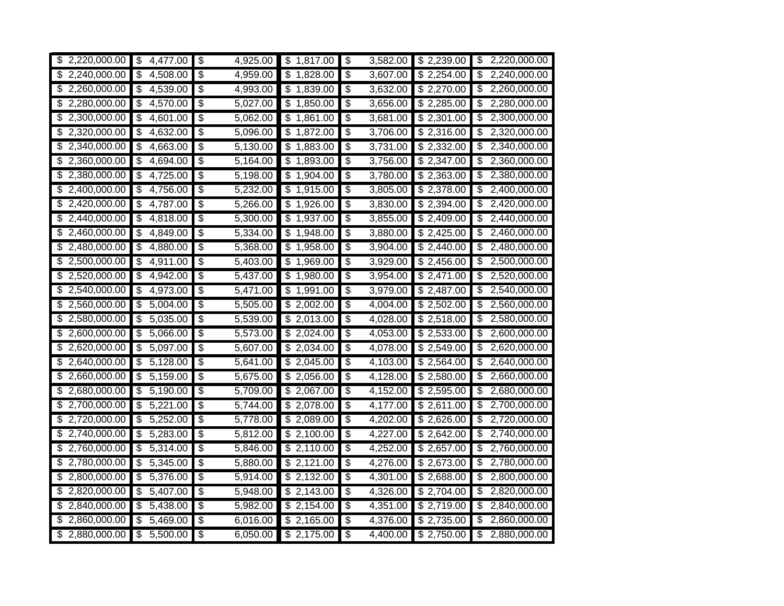| 2,220,000.00<br>\$                      | \$<br>4,477.00                        | $\frac{1}{2}$<br>4,925.00                    | \$<br>1,817.00                         | $\overline{\mathbf{3}}$                | 3,582.00 | \$2,239.00              | \$              | 2,220,000.00 |
|-----------------------------------------|---------------------------------------|----------------------------------------------|----------------------------------------|----------------------------------------|----------|-------------------------|-----------------|--------------|
| \$2,240,000.00                          | \$<br>4,508.00                        | s)<br>4,959.00                               | 1,828.00<br>$\boldsymbol{\mathsf{\$}}$ | \$                                     | 3,607.00 | \$2,254.00              | \$              | 2,240,000.00 |
| \$2,260,000.00                          | 4,539.00<br>\$                        | \$<br>4,993.00                               | 1,839.00<br>\$                         | \$                                     | 3,632.00 | \$2,270.00              | \$              | 2,260,000.00 |
| \$2,280,000.00                          | \$<br>4,570.00                        | \$<br>$\overline{5,027.00}$                  | $\overline{1,850.00}$<br>\$            | \$                                     | 3,656.00 | \$2,285.00              | \$              | 2,280,000.00 |
| $\overline{2,300,000.00}$               | $\boldsymbol{\mathsf{S}}$<br>4,601.00 | \$<br>5,062.00                               | 1,861.00<br>\$                         | \$                                     | 3,681.00 | \$2,301.00              | \$              | 2,300,000.00 |
| 2,320,000.00<br>\$                      | \$<br>4,632.00                        | \$<br>5,096.00                               | \$<br>1,872.00                         | $\overline{\mathcal{E}}$               | 3,706.00 | \$2,316.00              | \$              | 2,320,000.00 |
| 2,340,000.00<br>\$                      | \$<br>4,663.00                        | $\overline{\boldsymbol{\theta}}$<br>5,130.00 | \$<br>1,883.00                         | \$                                     | 3,731.00 | \$2,332.00              | \$              | 2,340,000.00 |
| \$2,360,000.00                          | \$<br>4,694.00                        | s)<br>5,164.00                               | 1,893.00<br>\$                         | \$                                     | 3,756.00 | \$2,347.00              | \$              | 2,360,000.00 |
| 2,380,000.00<br>\$                      | \$<br>4,725.00                        | \$<br>5,198.00                               | \$<br>1,904.00                         | \$                                     | 3,780.00 | $\overline{$}$ 2,363.00 | \$              | 2,380,000.00 |
| 2,400,000.00<br>\$                      | \$<br>4,756.00                        | $\overline{\mathcal{E}}$<br>5,232.00         | $\overline{\mathcal{S}}$<br>1,915.00   | \$                                     | 3,805.00 | \$2,378.00              | $\overline{\$}$ | 2,400,000.00 |
| 2,420,000.00<br>\$                      | \$<br>4,787.00                        | \$<br>5,266.00                               | \$<br>1,926.00                         | \$                                     | 3,830.00 | \$2,394.00              | \$              | 2,420,000.00 |
| 2,440,000.00<br>\$                      | \$<br>4,818.00                        | \$<br>5,300.00                               | \$<br>1,937.00                         | \$                                     | 3,855.00 | \$2,409.00              | \$              | 2,440,000.00 |
| \$2,460,000.00                          | \$<br>4,849.00                        | s)<br>5,334.00                               | $\boldsymbol{\mathsf{\$}}$<br>1,948.00 | \$                                     | 3,880.00 | $\overline{$}$ 2,425.00 | \$              | 2,460,000.00 |
| 2,480,000.00<br>\$                      | \$<br>4,880.00                        | $\overline{\boldsymbol{\theta}}$<br>5,368.00 | 1,958.00<br>\$                         | $\overline{\boldsymbol{\mathfrak{s}}}$ | 3,904.00 | \$2,440.00              | \$              | 2,480,000.00 |
| \$2,500,000.00                          | $\frac{1}{2}$<br>4,911.00             | $\overline{\boldsymbol{\theta}}$<br>5,403.00 | $\frac{1}{2}$<br>1,969.00              | \$                                     | 3,929.00 | \$2,456.00              | \$              | 2,500,000.00 |
| 2,520,000.00<br>\$                      | \$<br>4,942.00                        | \$<br>5,437.00                               | \$<br>1,980.00                         | $\overline{\boldsymbol{\mathfrak{s}}}$ | 3,954.00 | \$2,471.00              | \$              | 2,520,000.00 |
| 2,540,000.00<br>\$                      | \$<br>4,973.00                        | \$<br>5,471.00                               | \$<br>1,991.00                         | $\overline{\mathcal{E}}$               | 3,979.00 | \$2,487.00              | \$              | 2,540,000.00 |
| \$2,560,000.00                          | \$<br>5,004.00                        | $\overline{\$}$<br>5,505.00                  | \$2,002.00                             | $\overline{\$}$                        | 4,004.00 | \$2,502.00              | $\overline{\$}$ | 2,560,000.00 |
| 2,580,000.00<br>\$                      | $\boldsymbol{\mathsf{S}}$<br>5,035.00 | \$<br>5,539.00                               | 2,013.00<br>\$                         | \$                                     | 4,028.00 | \$2,518.00              | \$              | 2,580,000.00 |
| 2,600,000.00<br>\$                      | \$<br>5,066.00                        | \$<br>5,573.00                               | \$<br>2,024.00                         | \$                                     | 4,053.00 | $\overline{$}$ 2,533.00 | \$              | 2,600,000.00 |
| 2,620,000.00<br>\$                      | \$<br>5,097.00                        | \$<br>5,607.00                               | \$<br>2,034.00                         | $\overline{\$}$                        | 4,078.00 | \$2,549.00              | $\overline{\$}$ | 2,620,000.00 |
| 2,640,000.00<br>\$                      | \$<br>5,128.00                        | \$<br>5,641.00                               | \$<br>2,045.00                         | $\overline{\mathcal{E}}$               | 4,103.00 | \$2,564.00              | \$              | 2,640,000.00 |
| \$2,660,000.00                          | $\overline{\mathcal{S}}$<br>5,159.00  | \$<br>5,675.00                               | $\overline{$}$ 2,056.00                | \$                                     | 4,128.00 | $\overline{$}$ 2,580.00 | $\overline{\$}$ | 2,660,000.00 |
| \$2,680,000.00                          | \$<br>5,190.00                        | \$<br>5,709.00                               | 2,067.00<br>\$                         | \$                                     | 4,152.00 | $\overline{$}$ 2,595.00 | \$              | 2,680,000.00 |
| 2,700,000.00<br>\$                      | \$<br>5,221.00                        | $\overline{\boldsymbol{\theta}}$<br>5,744.00 | \$<br>2,078.00                         | $\overline{\boldsymbol{\mathfrak{s}}}$ | 4,177.00 | \$2,611.00              | \$              | 2,700,000.00 |
| \$2,720,000.00                          | $\boldsymbol{\mathsf{S}}$<br>5,252.00 | $\overline{\boldsymbol{\theta}}$<br>5,778.00 | 2,089.00<br>\$                         | $\overline{\mathbf{e}}$                | 4,202.00 | \$2,626.00              | \$              | 2,720,000.00 |
| \$<br>2,740,000.00                      | \$<br>5,283.00                        | $\overline{\boldsymbol{\theta}}$<br>5,812.00 | \$<br>2,100.00                         | \$                                     | 4,227.00 | \$2,642.00              | \$              | 2,740,000.00 |
| \$2,760,000.00                          | $\overline{\$}$<br>5,314.00           | $\overline{\mathcal{E}}$<br>5,846.00         | \$2,110.00                             | $\overline{\mathcal{E}}$               | 4,252.00 | \$2,657.00              | $\overline{\$}$ | 2,760,000.00 |
| 2,780,000.00<br>\$                      | S<br>5,345.00                         | $\overline{\$}$<br>5,880.00                  | \$2,121.00                             | \$                                     | 4,276.00 | \$2,673.00              | \$              | 2,780,000.00 |
| 2,800,000.00<br>\$                      | $\boldsymbol{\mathsf{S}}$<br>5,376.00 | \$<br>5,914.00                               | 2,132.00<br>\$                         | \$                                     | 4,301.00 | \$2,688.00              | \$              | 2,800,000.00 |
| 2,820,000.00<br>\$                      | \$<br>5,407.00                        | \$<br>5,948.00                               | $\overline{2}$ , 143.00<br>\$          | \$                                     | 4,326.00 | \$2,704.00              | $\overline{\$}$ | 2,820,000.00 |
| 2,840,000.00<br>\$                      | \$<br>5,438.00                        | \$<br>5,982.00                               | \$<br>2,154.00                         | $\overline{\mathcal{E}}$               | 4,351.00 | \$2,719.00              | \$              | 2,840,000.00 |
| 2,860,000.00<br>\$                      | \$<br>5,469.00                        | \$<br>6,016.00                               | \$2,165.00                             | \$                                     | 4,376.00 | \$2,735.00              | \$              | 2,860,000.00 |
| 2,880,000.00<br>$\overline{\mathbf{3}}$ | \$<br>5,500.00                        | \$<br>6,050.00                               | $\overline{2,175.00}$                  | $\overline{\boldsymbol{\mathfrak{s}}}$ | 4,400.00 | \$2,750.00              | S)              | 2,880,000.00 |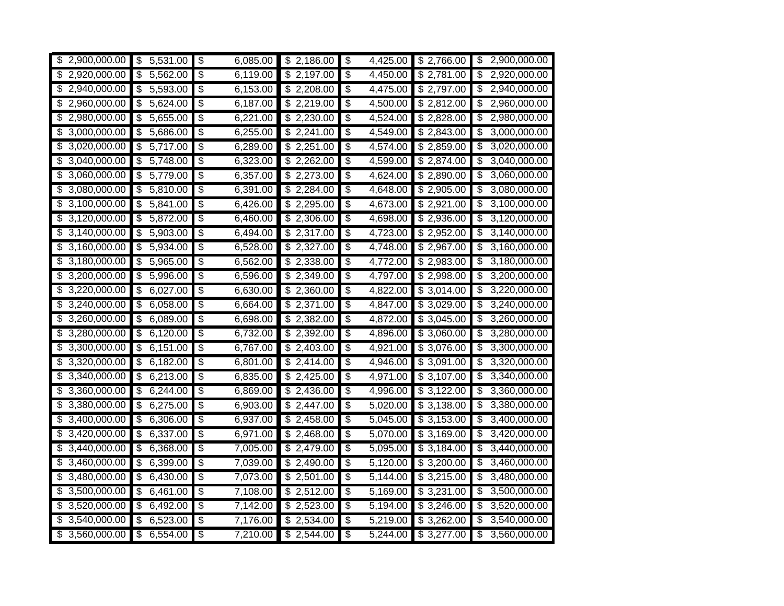| 2,900,000.00<br>\$                               | $\frac{1}{2}$<br>5,531.00                          | \$<br>6,085.00                               | \$<br>2,186.00                        | $\overline{\mathbf{3}}$                | 4,425.00              | \$2,766.00              | \$                       | 2,900,000.00 |
|--------------------------------------------------|----------------------------------------------------|----------------------------------------------|---------------------------------------|----------------------------------------|-----------------------|-------------------------|--------------------------|--------------|
| \$2,920,000.00                                   | $\boldsymbol{\mathsf{S}}$<br>5,562.00              | s)<br>6,119.00                               | 2,197.00<br>$\boldsymbol{\mathsf{S}}$ | \$                                     | 4,450.00              | \$2,781.00              | \$                       | 2,920,000.00 |
| \$2,940,000.00                                   | 5,593.00<br>\$                                     | \$<br>6,153.00                               | \$2,208.00                            | \$                                     | 4,475.00              | \$2,797.00              | \$                       | 2,940,000.00 |
| \$2,960,000.00                                   | $\overline{5,624.00}$<br>\$                        | $\overline{\boldsymbol{\theta}}$<br>6,187.00 | 2,219.00<br>\$                        | $\overline{\boldsymbol{\mathfrak{s}}}$ | $\overline{4,}500.00$ | \$2,812.00              | \$                       | 2,960,000.00 |
| 2,980,000.00<br>\$                               | $\boldsymbol{\mathsf{S}}$<br>5,655.00              | \$<br>6,221.00                               | 2,230.00<br>\$                        | \$                                     | 4,524.00              | \$2,828.00              | \$                       | 2,980,000.00 |
| 3,000,000.00<br>\$                               | \$<br>5,686.00                                     | $\overline{\$}$<br>6,255.00                  | \$<br>2,241.00                        | $\overline{\$}$                        | 4,549.00              | \$2,843.00              | \$                       | 3,000,000.00 |
| 3,020,000.00<br>\$                               | \$<br>5,717.00                                     | $\overline{\mathcal{E}}$<br>6,289.00         | \$2,251.00                            | $\overline{\mathcal{E}}$               | 4,574.00              | \$2,859.00              | $\overline{\$}$          | 3,020,000.00 |
| 3,040,000.00<br>\$                               | $\boldsymbol{\mathsf{S}}$<br>5,748.00              | s)<br>6,323.00                               | \$2,262.00                            | \$                                     | 4,599.00              | \$2,874.00              | \$                       | 3,040,000.00 |
| 3,060,000.00<br>\$                               | \$<br>5,779.00                                     | \$<br>6,357.00                               | 2,273.00<br>\$                        | \$                                     | 4,624.00              | \$2,890.00              | \$                       | 3,060,000.00 |
| 3,080,000.00<br>\$                               | \$<br>$\overline{5,810.00}$                        | $\overline{\mathcal{E}}$<br>6,391.00         | \$<br>2,284.00                        | \$                                     | 4,648.00              | $\overline{$}$ 2,905.00 | $\overline{\$}$          | 3,080,000.00 |
| 3,100,000.00<br>\$                               | \$<br>5,841.00                                     | $\overline{\mathcal{C}}$<br>6,426.00         | \$<br>2,295.00                        | \$                                     | 4,673.00              | \$2,921.00              | $\overline{\$}$          | 3,100,000.00 |
| 3,120,000.00<br>\$                               | \$<br>5,872.00                                     | \$<br>6,460.00                               | \$<br>2,306.00                        | \$                                     | 4,698.00              | \$2,936.00              | \$                       | 3,120,000.00 |
| \$3,140,000.00                                   | 5,903.00<br>\$                                     | s)<br>6,494.00                               | \$2,317.00                            | \$                                     | 4,723.00              | \$2,952.00              | \$                       | 3,140,000.00 |
| 3,160,000.00<br>\$                               | $\overline{\boldsymbol{\mathfrak{s}}}$<br>5,934.00 | $\overline{\boldsymbol{\theta}}$<br>6,528.00 | 2,327.00<br>\$                        | \$                                     | 4,748.00              | \$2,967.00              | \$                       | 3,160,000.00 |
| 3,180,000.00<br>\$                               | \$<br>5,965.00                                     | $\overline{\boldsymbol{\theta}}$<br>6,562.00 | 2,338.00<br>\$                        | $\overline{\boldsymbol{\mathfrak{s}}}$ | 4,772.00              | \$2,983.00              | \$                       | 3,180,000.00 |
| 3,200,000.00<br>\$                               | $\boldsymbol{\mathsf{S}}$<br>5,996.00              | \$<br>6,596.00                               | 2,349.00<br>\$                        | $\overline{\boldsymbol{\mathfrak{s}}}$ | 4,797.00              | \$2,998.00              | \$                       | 3,200,000.00 |
| $\overline{\boldsymbol{\theta}}$<br>3,220,000.00 | \$<br>6,027.00                                     | \$<br>6,630.00                               | \$<br>2,360.00                        | $\overline{\mathcal{E}}$               | 4,822.00              | \$3,014.00              | \$                       | 3,220,000.00 |
| 3,240,000.00<br>\$                               | \$<br>6,058.00                                     | $\overline{\mathcal{E}}$<br>6,664.00         | \$2,371.00                            | $\overline{\$}$                        | 4,847.00              | \$3,029.00              | $\overline{\$}$          | 3,240,000.00 |
| 3,260,000.00<br>\$                               | $\boldsymbol{\mathsf{S}}$<br>6,089.00              | \$<br>6,698.00                               | 2,382.00<br>\$                        | \$                                     | $\sqrt{4,872.00}$     | \$3,045.00              | \$                       | 3,260,000.00 |
| 3,280,000.00<br>\$                               | \$<br>6,120.00                                     | \$<br>6,732.00                               | \$<br>2,392.00                        | \$                                     | 4,896.00              | $\overline{$}3,060.00$  | $\overline{\mathcal{E}}$ | 3,280,000.00 |
| 3,300,000.00<br>\$                               | \$<br>6,151.00                                     | $\overline{\$}$<br>6,767.00                  | 2,403.00<br>\$                        | $\overline{\$}$                        | 4,921.00              | \$3,076.00              | $\overline{\$}$          | 3,300,000.00 |
| 3,320,000.00<br>\$                               | \$<br>6,182.00                                     | \$<br>6,801.00                               | 2,414.00<br>\$                        | $\overline{\mathcal{E}}$               | 4,946.00              | \$3,091.00              | \$                       | 3,320,000.00 |
| \$3,340,000.00                                   | $\overline{\boldsymbol{\mathfrak{s}}}$<br>6,213.00 | \$<br>6,835.00                               | $\overline{$}$ 2,425.00               | \$                                     | 4,971.00              | \$3,107.00              | $\overline{\$}$          | 3,340,000.00 |
| 3,360,000.00<br>\$                               | \$<br>6,244.00                                     | \$<br>6,869.00                               | 2,436.00<br>\$                        | \$                                     | 4,996.00              | \$3,122.00              | \$                       | 3,360,000.00 |
| 3,380,000.00<br>\$                               | \$<br>6,275.00                                     | $\overline{\boldsymbol{\theta}}$<br>6,903.00 | \$<br>2,447.00                        | \$                                     | 5,020.00              | \$3,138.00              | \$                       | 3,380,000.00 |
| 3,400,000.00<br>\$                               | $\boldsymbol{\mathsf{S}}$<br>6,306.00              | $\overline{\boldsymbol{\theta}}$<br>6,937.00 | \$2,458.00                            | $\overline{\mathbf{e}}$                | 5,045.00              | \$3,153.00              | \$                       | 3,400,000.00 |
| \$<br>3,420,000.00                               | \$<br>6,337.00                                     | $\overline{\boldsymbol{\theta}}$<br>6,971.00 | \$<br>2,468.00                        | \$                                     | 5,070.00              | \$3,169.00              | \$                       | 3,420,000.00 |
| 3,440,000.00<br>\$                               | $\overline{\$}$<br>6,368.00                        | $\overline{\mathcal{E}}$<br>7,005.00         | \$2,479.00                            | $\overline{\mathcal{E}}$               | 5,095.00              | \$3,184.00              | $\overline{\$}$          | 3,440,000.00 |
| 3,460,000.00<br>\$                               | 6,399.00<br>\$                                     | $\overline{\$}$<br>7,039.00                  | 2,490.00<br>\$                        | \$                                     | 5,120.00              | \$3,200.00              | \$                       | 3,460,000.00 |
| 3,480,000.00<br>\$                               | $\boldsymbol{\mathsf{S}}$<br>6,430.00              | $\overline{\boldsymbol{\theta}}$<br>7,073.00 | 2,501.00<br>\$                        | \$                                     | 5,144.00              | \$3,215.00              | \$                       | 3,480,000.00 |
| 3,500,000.00<br>\$                               | \$<br>6,461.00                                     | \$<br>7,108.00                               | \$<br>2,512.00                        | \$                                     | 5,169.00              | \$3,231.00              | $\overline{\mathcal{E}}$ | 3,500,000.00 |
| 3,520,000.00<br>\$                               | \$<br>6,492.00                                     | \$<br>7,142.00                               | \$<br>2,523.00                        | $\overline{\mathcal{E}}$               | 5,194.00              | \$3,246.00              | \$                       | 3,520,000.00 |
| 3,540,000.00<br>\$                               | \$<br>6,523.00                                     | $\overline{\mathcal{E}}$<br>7,176.00         | 2,534.00<br>\$                        | \$                                     | 5,219.00              | \$3,262.00              | \$                       | 3,540,000.00 |
| 3,560,000.00<br>$\overline{\boldsymbol{\theta}}$ | \$<br>6,554.00                                     | \$<br>7,210.00                               | \$2,544.00                            | $\overline{\boldsymbol{\mathfrak{s}}}$ | 5,244.00              | \$3,277.00              | \$                       | 3,560,000.00 |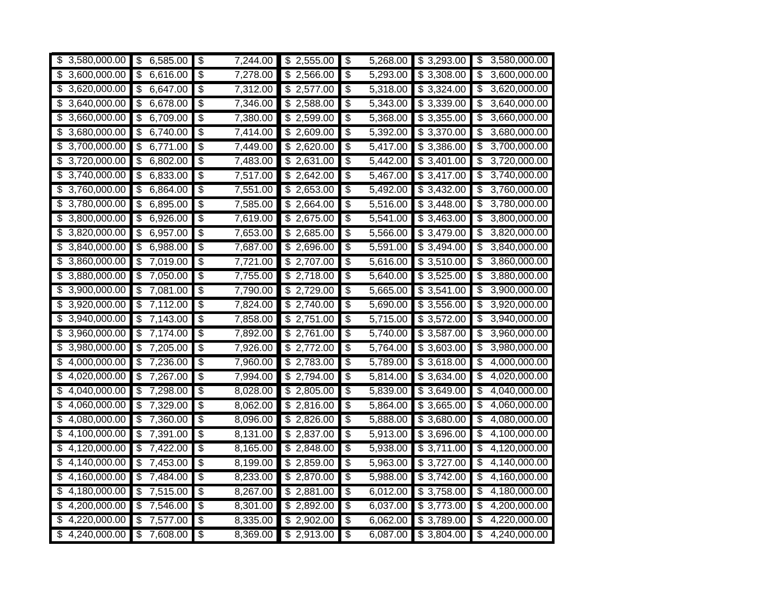| 3,580,000.00                                     | $\frac{1}{2}$                                      | \$                                                 | \$                                    | \$                                                  | \$3,293.00             | \$                                       |
|--------------------------------------------------|----------------------------------------------------|----------------------------------------------------|---------------------------------------|-----------------------------------------------------|------------------------|------------------------------------------|
| \$                                               | 6,585.00                                           | 7,244.00                                           | 2,555.00                              | 5,268.00                                            |                        | 3,580,000.00                             |
| \$3,600,000.00                                   | $\overline{\boldsymbol{\mathfrak{s}}}$<br>6,616.00 | s)<br>7,278.00                                     | $\boldsymbol{\mathsf{S}}$<br>2,566.00 | s)<br>5,293.00                                      | \$3,308.00             | $\overline{\mathbf{e}}$<br>3,600,000.00  |
| 3,620,000.00                                     | 6,647.00                                           | s)                                                 | 2,577.00                              | 5,318.00                                            | \$3,324.00             | 3,620,000.00                             |
| \$                                               | \$                                                 | 7,312.00                                           | \$                                    | \$                                                  |                        | \$                                       |
| 3,640,000.00                                     | 6,678.00                                           | $\overline{\boldsymbol{\theta}}$                   | 2,588.00                              | $\overline{\boldsymbol{\theta}}$                    | \$3,339.00             | \$                                       |
| \$                                               | \$                                                 | 7,346.00                                           | \$                                    | 5,343.00                                            |                        | 3,640,000.00                             |
| 3,660,000.00                                     | $\boldsymbol{\mathsf{S}}$                          | \$                                                 | 2,599.00                              | \$                                                  | \$3,355.00             | \$                                       |
| \$                                               | 6,709.00                                           | 7,380.00                                           | \$                                    | 5,368.00                                            |                        | 3,660,000.00                             |
| 3,680,000.00                                     | \$                                                 | \$                                                 | \$                                    | $\overline{\$}$                                     | \$3,370.00             | \$                                       |
| \$                                               | 6,740.00                                           | 7,414.00                                           | 2,609.00                              | 5,392.00                                            |                        | 3,680,000.00                             |
| 3,700,000.00<br>\$                               | \$<br>6,771.00                                     | $\overline{\boldsymbol{\theta}}$<br>7,449.00       | \$2,620.00                            | $\overline{\mathcal{E}}$<br>5,417.00                | \$3,386.00             | \$<br>3,700,000.00                       |
| 3,720,000.00<br>\$                               | $\boldsymbol{\mathsf{S}}$<br>6,802.00              | \$<br>7,483.00                                     | \$2,631.00                            | $\overline{5,44}$ 2.00<br>$\boldsymbol{\mathsf{S}}$ | \$3,401.00             | 3,720,000.00<br>$\overline{\mathbf{e}}$  |
| 3,740,000.00                                     | $\frac{1}{2}$                                      | $\overline{\boldsymbol{\theta}}$                   | $\overline{2,}642.00$                 | \$                                                  | \$3,417.00             | \$                                       |
| \$                                               | 6,833.00                                           | 7,517.00                                           | \$                                    | 5,467.00                                            |                        | 3,740,000.00                             |
| 3,760,000.00                                     | \$                                                 | $\overline{\mathcal{E}}$                           | $\overline{\mathbf{3}}$               | \$                                                  | \$3,432.00             | $\overline{\$}$                          |
| \$                                               | 6,864.00                                           | 7,551.00                                           | 2,653.00                              | 5,492.00                                            |                        | 3,760,000.00                             |
| 3,780,000.00                                     | \$                                                 | \$                                                 | \$                                    | \$                                                  | \$3,448.00             | \$                                       |
| \$                                               | 6,895.00                                           | 7,585.00                                           | 2,664.00                              | 5,516.00                                            |                        | 3,780,000.00                             |
| 3,800,000.00                                     | \$                                                 | \$                                                 | \$                                    | \$                                                  | \$3,463.00             | \$                                       |
| \$                                               | 6,926.00                                           | 7,619.00                                           | 2,675.00                              | $\overline{5,}541.00$                               |                        | 3,800,000.00                             |
| \$3,820,000.00                                   | 6,957.00<br>\$                                     | $\overline{\boldsymbol{\mathfrak{s}}}$<br>7,653.00 | $\overline{$}$ 2,685.00               | s)<br>5,566.00                                      | \$3,479.00             | 3,820,000.00<br>$\overline{\mathbf{e}}$  |
| 3,840,000.00                                     | \$                                                 | $\overline{\mathcal{E}}$                           | 2,696.00                              | \$                                                  | \$3,494.00             | \$                                       |
| \$                                               | 6,988.00                                           | 7,687.00                                           | \$                                    | 5,591.00                                            |                        | 3,840,000.00                             |
| 3,860,000.00                                     | $\boldsymbol{\theta}$                              | $\overline{\boldsymbol{\theta}}$                   | \$                                    | $\overline{\boldsymbol{\mathfrak{s}}}$              | \$3,510.00             | \$                                       |
| \$                                               | 7,019.00                                           | 7,721.00                                           | 2,707.00                              | 5,616.00                                            |                        | 3,860,000.00                             |
| 3,880,000.00                                     | $\boldsymbol{\mathsf{S}}$                          | \$                                                 | \$                                    | $\overline{\boldsymbol{\mathfrak{s}}}$              | \$3,525.00             | \$                                       |
| \$                                               | 7,050.00                                           | 7,755.00                                           | 2,718.00                              | 5,640.00                                            |                        | 3,880,000.00                             |
| 3,900,000.00                                     | \$                                                 | $\overline{\boldsymbol{\theta}}$                   | $\overline{\mathbf{e}}$               | \$                                                  | \$3,541.00             | \$                                       |
| \$                                               | 7,081.00                                           | 7,790.00                                           | 2,729.00                              | 5,665.00                                            |                        | 3,900,000.00                             |
| 3,920,000.00                                     | \$                                                 | $\overline{\mathcal{C}}$                           | $\overline{\boldsymbol{\theta}}$      | $\overline{\$}$                                     | \$3,556.00             | $\overline{\$}$                          |
| \$                                               | 7,112.00                                           | 7,824.00                                           | 2,740.00                              | 5,690.00                                            |                        | 3,920,000.00                             |
| 3,940,000.00                                     | $\boldsymbol{\mathsf{S}}$                          | \$                                                 | 2,751.00                              | \$                                                  | \$3,572.00             | $\overline{\mathbf{e}}$                  |
| \$                                               | 7,143.00                                           | 7,858.00                                           | \$                                    | 5,715.00                                            |                        | 3,940,000.00                             |
| 3,960,000.00                                     | \$                                                 | \$                                                 | \$                                    | \$                                                  | \$3,587.00             | \$                                       |
| \$                                               | 7,174.00                                           | 7,892.00                                           | 2,761.00                              | 5,740.00                                            |                        | 3,960,000.00                             |
| 3,980,000.00                                     | \$                                                 | $\overline{\$}$                                    | \$                                    | $\overline{\mathcal{C}}$                            | \$3,603.00             | $\overline{\$}$                          |
| \$                                               | 7,205.00                                           | 7,926.00                                           | 2,772.00                              | 5,764.00                                            |                        | 3,980,000.00                             |
| 4,000,000.00                                     | \$                                                 | \$                                                 | \$                                    | \$                                                  | \$3,618.00             | \$                                       |
| \$                                               | 7,236.00                                           | 7,960.00                                           | 2,783.00                              | 5,789.00                                            |                        | 4,000,000.00                             |
| \$4,020,000.00                                   | $\overline{\boldsymbol{\mathfrak{s}}}$<br>7,267.00 | $\overline{\mathcal{S}}$<br>7,994.00               | $\overline{$}$ 2,794.00               | \$<br>$\overline{5,814.00}$                         | \$3,634.00             | $\overline{\mathcal{E}}$<br>4,020,000.00 |
| \$4,040,000.00                                   | $\boldsymbol{\mathsf{S}}$<br>7,298.00              | \$<br>8,028.00                                     | 2,805.00<br>\$                        | \$<br>5,839.00                                      | \$3,649.00             | $\overline{\mathbf{e}}$<br>4,040,000.00  |
| 4,060,000.00                                     | \$                                                 | $\overline{\boldsymbol{\theta}}$                   | 2,816.00                              | \$                                                  | \$3,665.00             | \$                                       |
| \$                                               | 7,329.00                                           | 8,062.00                                           | \$                                    | 5,864.00                                            |                        | 4,060,000.00                             |
| 4,080,000.00                                     | $\boldsymbol{\mathsf{S}}$                          | $\overline{\boldsymbol{\theta}}$                   | 2,826.00                              | $\overline{\boldsymbol{\theta}}$                    | \$3,680.00             | $\overline{\$}$                          |
| \$                                               | 7,360.00                                           | 8,096.00                                           | \$                                    | 5,888.00                                            |                        | 4,080,000.00                             |
| $\overline{\boldsymbol{\theta}}$                 | \$                                                 | \$                                                 | \$                                    | \$                                                  | \$3,696.00             | \$                                       |
| 4,100,000.00                                     | 7,391.00                                           | 8,131.00                                           | 2,837.00                              | 5,913.00                                            |                        | 4,100,000.00                             |
| \$4,120,000.00                                   | $\overline{\mathcal{C}}$<br>7,422.00               | $\overline{\mathcal{E}}$<br>8,165.00               | \$<br>2,848.00                        | $\overline{\mathcal{E}}$<br>5,938.00                | \$3,711.00             | $\overline{\mathcal{E}}$<br>4,120,000.00 |
| 4,140,000.00                                     | \$                                                 | $\overline{\mathcal{C}}$                           | $\overline{\boldsymbol{\theta}}$      | 5,963.00                                            | \$3,727.00             | $\overline{\$}$                          |
| \$                                               | 7,453.00                                           | 8,199.00                                           | 2,859.00                              | s)                                                  |                        | 4,140,000.00                             |
| 4, 160, 000.00                                   | $\boldsymbol{\mathsf{S}}$                          | \$                                                 | 2,870.00                              | \$                                                  | \$3,742.00             | \$                                       |
| \$                                               | 7,484.00                                           | 8,233.00                                           | \$                                    | 5,988.00                                            |                        | 4,160,000.00                             |
| 4,180,000.00                                     | \$                                                 | \$                                                 | $\overline{2,881.00}$                 | \$                                                  | $\overline{$}3,758.00$ | $\overline{\mathcal{E}}$                 |
| \$                                               | 7,515.00                                           | 8,267.00                                           | \$                                    | 6,012.00                                            |                        | 4,180,000.00                             |
| \$                                               | \$                                                 | \$                                                 | \$                                    | \$                                                  | \$3,773.00             | \$                                       |
| 4,200,000.00                                     | $7,546.\overline{00}$                              | 8,301.00                                           | 2,892.00                              | 6,037.00                                            |                        | 4,200,000.00                             |
| 4,220,000.00<br>\$                               | \$<br>7,577.00                                     | \$<br>8,335.00                                     | \$2,902.00                            | \$<br>6,062.00                                      | \$3,789.00             | \$<br>4,220,000.00                       |
| 4,240,000.00<br>$\overline{\boldsymbol{\theta}}$ | 7,608.00<br>\$                                     | $\overline{\boldsymbol{\theta}}$<br>8,369.00       | \$2,913.00                            | $\overline{\boldsymbol{\mathfrak{s}}}$<br>6,087.00  | \$3,804.00             | 4,240,000.00<br>\$                       |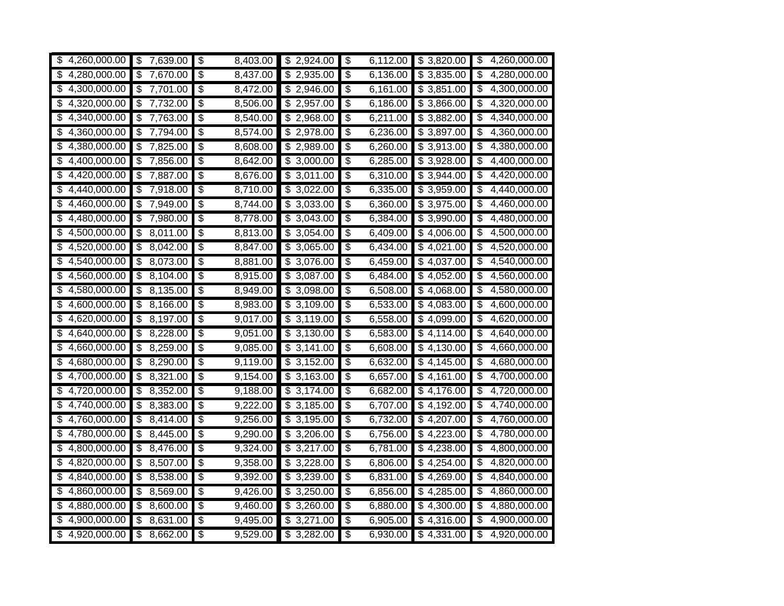| 4,260,000.00<br>\$ | $\frac{1}{2}$<br>7,639.00                          | \$<br>8,403.00                                     | \$<br>2,924.00                               | $\overline{\mathbf{3}}$                | 6,112.00 | \$3,820.00             | \$                      | 4,260,000.00 |
|--------------------|----------------------------------------------------|----------------------------------------------------|----------------------------------------------|----------------------------------------|----------|------------------------|-------------------------|--------------|
| \$4,280,000.00     | $\overline{\boldsymbol{\mathfrak{s}}}$<br>7,670.00 | $\overline{\boldsymbol{\mathfrak{s}}}$<br>8,437.00 | \$2,935.00                                   | \$                                     | 6,136.00 | \$3,835.00             | \$                      | 4,280,000.00 |
| 4,300,000.00<br>\$ | 7,701.00<br>\$                                     | $\overline{\mathcal{E}}$<br>8,472.00               | 2,946.00<br>\$                               | \$                                     | 6,161.00 | \$3,851.00             | \$                      | 4,300,000.00 |
| 4,320,000.00<br>\$ | \$<br>7,732.00                                     | \$<br>8,506.00                                     | 2,957.00<br>\$                               | $\overline{\boldsymbol{\mathfrak{s}}}$ | 6,186.00 | \$3,866.00             | $\overline{\$}$         | 4,320,000.00 |
| 4,340,000.00<br>\$ | $\frac{1}{2}$<br>7,763.00                          | \$<br>8,540.00                                     | \$2,968.00                                   | \$                                     | 6,211.00 | $\overline{$}3,882.00$ | \$                      | 4,340,000.00 |
| 4,360,000.00<br>\$ | \$<br>7,794.00                                     | $\overline{\mathcal{E}}$<br>8,574.00               | \$<br>2,978.00                               | $\overline{\mathcal{S}}$               | 6,236.00 | \$3,897.00             | \$                      | 4,360,000.00 |
| 4,380,000.00<br>\$ | $\overline{\boldsymbol{\mathfrak{s}}}$<br>7,825.00 | \$<br>8,608.00                                     | \$2,989.00                                   | $\overline{\mathfrak{s}}$              | 6,260.00 | \$3,913.00             | $\overline{\$}$         | 4,380,000.00 |
| 4,400,000.00<br>\$ | $\boldsymbol{\mathsf{S}}$<br>7,856.00              | \$<br>8,642.00                                     | $\frac{1}{2}$<br>3,000.00                    | \$                                     | 6,285.00 | \$3,928.00             | $\overline{\mathbf{S}}$ | 4,400,000.00 |
| 4,420,000.00<br>\$ | $\overline{\boldsymbol{\mathfrak{s}}}$<br>7,887.00 | \$<br>8,676.00                                     | 3,011.00<br>\$                               | $\overline{\boldsymbol{\theta}}$       | 6,310.00 | \$3,944.00             | $\overline{\$}$         | 4,420,000.00 |
| 4,440,000.00<br>\$ | \$<br>7,918.00                                     | \$<br>8,710.00                                     | $\overline{\mathcal{G}}$<br>3,022.00         | \$                                     | 6,335.00 | \$3,959.00             | \$                      | 4,440,000.00 |
| 4,460,000.00<br>\$ | \$<br>7,949.00                                     | $\overline{\mathcal{C}}$<br>8,744.00               | \$<br>3,033.00                               | $\overline{\mathcal{E}}$               | 6,360.00 | \$3,975.00             | $\overline{\$}$         | 4,460,000.00 |
| 4,480,000.00<br>\$ | $\frac{1}{2}$<br>7,980.00                          | s)<br>8,778.00                                     | \$<br>3,043.00                               | $\overline{\boldsymbol{\mathfrak{s}}}$ | 6,384.00 | \$3,990.00             | \$                      | 4,480,000.00 |
| \$4,500,000.00     | $\boldsymbol{\mathsf{S}}$<br>8,011.00              | $\overline{\mathcal{E}}$<br>8,813.00               | 3,054.00<br>$\boldsymbol{\mathsf{S}}$        | \$                                     | 6,409.00 | \$4,006.00             | \$                      | 4,500,000.00 |
| 4,520,000.00<br>\$ | $\overline{\boldsymbol{\mathfrak{s}}}$<br>8,042.00 | $\overline{\mathcal{C}}$<br>8,847.00               | 3,065.00<br>\$                               | \$                                     | 6,434.00 | \$4,021.00             | \$                      | 4,520,000.00 |
| 4,540,000.00<br>\$ | \$<br>8,073.00                                     | \$<br>8,881.00                                     | $\overline{3,076.00}$<br>\$                  | \$                                     | 6,459.00 | \$4,037.00             | \$                      | 4,540,000.00 |
| \$<br>4,560,000.00 | \$<br>8,104.00                                     | $\overline{\boldsymbol{\theta}}$<br>8,915.00       | \$<br>3,087.00                               | $\overline{\boldsymbol{\theta}}$       | 6,484.00 | \$4,052.00             | \$                      | 4,560,000.00 |
| 4,580,000.00<br>\$ | \$<br>8,135.00                                     | \$<br>8,949.00                                     | 3,098.00<br>\$                               | $\overline{\mathcal{E}}$               | 6,508.00 | \$4,068.00             | \$                      | 4,580,000.00 |
| 4,600,000.00<br>\$ | $\overline{\$}$<br>8,166.00                        | $\overline{\mathcal{E}}$<br>8,983.00               | $\overline{\$}$<br>3,109.00                  | $\overline{\mathcal{E}}$               | 6,533.00 | \$4,083.00             | $\overline{\$}$         | 4,600,000.00 |
| 4,620,000.00<br>\$ | \$<br>$\sqrt{8,}197.00$                            | $\overline{\boldsymbol{\theta}}$<br>9,017.00       | 3,119.00<br>\$                               | \$                                     | 6,558.00 | \$4,099.00             | \$                      | 4,620,000.00 |
| 4,640,000.00<br>\$ | \$<br>8,228.00                                     | \$<br>9,051.00                                     | $\overline{3,}130.00$<br>\$                  | \$                                     | 6,583.00 | \$4,114.00             | $\overline{\$}$         | 4,640,000.00 |
| 4,660,000.00<br>\$ | \$<br>8,259.00                                     | $\overline{\$}$<br>9,085.00                        | \$<br>3,141.00                               | $\overline{\mathcal{E}}$               | 6,608.00 | \$4,130.00             | $\overline{\$}$         | 4,660,000.00 |
| 4,680,000.00<br>\$ | \$<br>8,290.00                                     | $\overline{\boldsymbol{\theta}}$<br>9,119.00       | \$<br>3,152.00                               | \$                                     | 6,632.00 | \$4,145.00             | \$                      | 4,680,000.00 |
| \$4,700,000.00     | 8,321.00<br>$\boldsymbol{\mathsf{S}}$              | s)<br>9,154.00                                     | \$3,163.00                                   | \$                                     | 6,657.00 | \$4,161.00             | $\overline{\mathbf{S}}$ | 4,700,000.00 |
| \$4,720,000.00     | \$<br>8,352.00                                     | $\overline{\boldsymbol{\theta}}$<br>9,188.00       | 3,174.00<br>\$                               | \$                                     | 6,682.00 | \$4,176.00             | \$                      | 4,720,000.00 |
| 4,740,000.00<br>\$ | \$<br>8,383.00                                     | $\overline{\mathcal{E}}$<br>9,222.00               | \$<br>3,185.00                               | \$                                     | 6,707.00 | \$4,192.00             | $\overline{\$}$         | 4,740,000.00 |
| 4,760,000.00<br>\$ | $\frac{1}{2}$<br>8,414.00                          | \$<br>9,256.00                                     | \$<br>3,195.00                               | $\overline{\boldsymbol{\mathfrak{s}}}$ | 6,732.00 | \$4,207.00             | \$                      | 4,760,000.00 |
| \$<br>4,780,000.00 | \$<br>8,445.00                                     | \$<br>9,290.00                                     | \$<br>3,206.00                               | \$                                     | 6,756.00 | \$4,223.00             | $\overline{\$}$         | 4,780,000.00 |
| 4,800,000.00<br>\$ | $\overline{\mathcal{S}}$<br>8,476.00               | $\overline{\mathcal{E}}$<br>9,324.00               | $\overline{\boldsymbol{\theta}}$<br>3,217.00 | $\overline{\$}$                        | 6,781.00 | \$4,238.00             | \$                      | 4,800,000.00 |
| 4,820,000.00<br>\$ | \$<br>8,507.00                                     | $\overline{\boldsymbol{\theta}}$<br>9,358.00       | 3,228.00<br>\$                               | \$                                     | 6,806.00 | \$4,254.00             | \$                      | 4,820,000.00 |
| 4,840,000.00<br>\$ | $\frac{1}{2}$<br>8,538.00                          | $\overline{\boldsymbol{\theta}}$<br>9,392.00       | \$<br>3,239.00                               | \$                                     | 6,831.00 | \$4,269.00             | \$                      | 4,840,000.00 |
| 4,860,000.00<br>\$ | $\boldsymbol{\mathsf{S}}$<br>8,569.00              | \$<br>9,426.00                                     | \$<br>$\overline{3,}250.00$                  | $\overline{\boldsymbol{\mathfrak{s}}}$ | 6,856.00 | $\overline{$}4,285.00$ | \$                      | 4,860,000.00 |
| 4,880,000.00<br>\$ | S<br>8,600.00                                      | $\overline{\mathcal{E}}$<br>9,460.00               | $\overline{\$}$<br>3,260.00                  | $\overline{\mathcal{E}}$               | 6,880.00 | \$4,300.00             | $\overline{\$}$         | 4,880,000.00 |
| 4,900,000.00<br>\$ | $\overline{\mathcal{S}}$<br>8,631.00               | $\overline{\mathcal{E}}$<br>9,495.00               | \$3,271.00                                   | $\overline{\mathcal{E}}$               | 6,905.00 | \$4,316.00             | $\overline{\$}$         | 4,900,000.00 |
| 4,920,000.00<br>\$ | \$<br>8,662.00                                     | $\overline{\$}$<br>9,529.00                        | \$3,282.00                                   | \$                                     | 6,930.00 | \$4,331.00             | \$                      | 4,920,000.00 |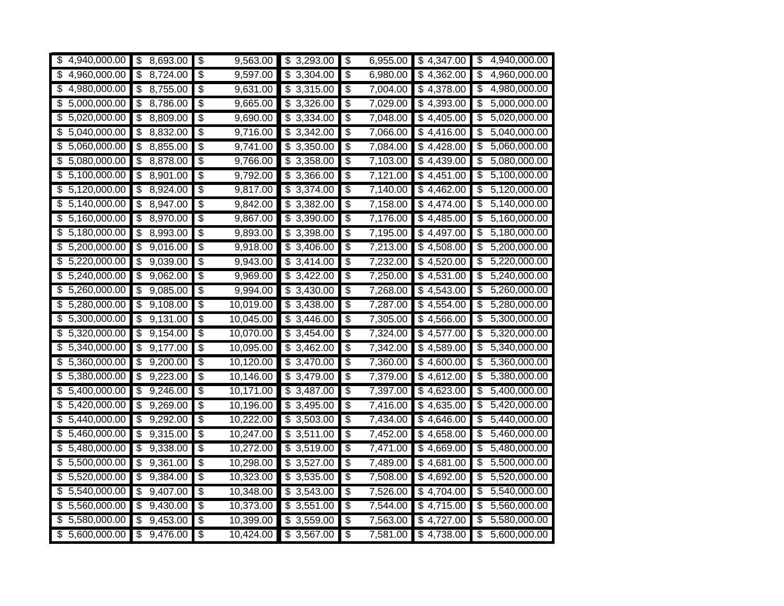| \$             | \$                                                 | \$                               | \$                                    | \$                                     | \$4,347.00               | \$                       |
|----------------|----------------------------------------------------|----------------------------------|---------------------------------------|----------------------------------------|--------------------------|--------------------------|
| 4,940,000.00   | 8,693.00                                           | 9,563.00                         | 3,293.00                              | 6,955.00                               |                          | 4,940,000.00             |
| \$4,960,000.00 | $\overline{\boldsymbol{\mathfrak{s}}}$<br>8,724.00 | s)<br>9,597.00                   | $\boldsymbol{\mathsf{S}}$<br>3,304.00 | s)<br>6,980.00                         | \$4,362.00               | \$<br>4,960,000.00       |
| 4,980,000.00   | 8,755.00                                           | \$                               | 3,315.00                              | 7,004.00                               | \$4,378.00               | $\overline{\mathbf{e}}$  |
| \$             | \$                                                 | 9,631.00                         | \$                                    | \$                                     |                          | 4,980,000.00             |
| 5,000,000.00   | \$                                                 | $\overline{\boldsymbol{\theta}}$ | 3,326.00                              | $\overline{\boldsymbol{\theta}}$       | \$4,393.00               | $\overline{\mathcal{E}}$ |
| \$             | 8,786.00                                           | 9,665.00                         | \$                                    | 7,029.00                               |                          | 5,000,000.00             |
| 5,020,000.00   | \$                                                 | \$                               | 3,334.00                              | \$                                     | $\overline{\$}$ 4,405.00 | $\overline{\mathbf{e}}$  |
| \$             | 8,809.00                                           | 9,690.00                         | \$                                    | 7,048.00                               |                          | 5,020,000.00             |
| 5,040,000.00   | \$                                                 | $\overline{\boldsymbol{\theta}}$ | \$                                    | \$                                     | \$4,416.00               | \$                       |
| \$             | 8,832.00                                           | 9,716.00                         | 3,342.00                              | 7,066.00                               |                          | 5,040,000.00             |
| 5,060,000.00   | \$                                                 | $\overline{\mathcal{E}}$         | $\overline{\mathbf{e}}$               | $\overline{\mathcal{E}}$               | \$4,428.00               | \$                       |
| \$             | 8,855.00                                           | 9,741.00                         | 3,350.00                              | 7,084.00                               |                          | 5,060,000.00             |
| 5,080,000.00   | $\boldsymbol{\mathsf{S}}$                          | \$                               | 3,358.00                              | $\frac{1}{2}$                          | \$4,439.00               | $\overline{\mathbf{e}}$  |
| \$             | 8,878.00                                           | 9,766.00                         | $\frac{1}{2}$                         | 7,103.00                               |                          | 5,080,000.00             |
| 5,100,000.00   | 8,901.00                                           | \$                               | 3,366.00                              | \$                                     | \$4,451.00               | $\overline{\mathbf{e}}$  |
| \$             | \$                                                 | 9,792.00                         | \$                                    | 7,121.00                               |                          | 5,100,000.00             |
| 5,120,000.00   | 8,924.00                                           | $\overline{\mathcal{E}}$         | $\overline{\mathbf{3}}$               | $\overline{\boldsymbol{\theta}}$       | $\overline{$}4,462.00$   | $\overline{\mathbf{e}}$  |
| \$             | \$                                                 | 9,817.00                         | 3,374.00                              | 7,140.00                               |                          | 5,120,000.00             |
| 5,140,000.00   | \$                                                 | \$                               | 3,382.00                              | \$                                     | \$4,474.00               | $\overline{\mathbf{e}}$  |
| \$             | 8,947.00                                           | 9,842.00                         | \$                                    | 7,158.00                               |                          | 5,140,000.00             |
| 5,160,000.00   | \$                                                 | \$                               | \$                                    | \$                                     | \$                       | \$                       |
| \$             | 8,970.00                                           | 9,867.00                         | 3,390.00                              | 7,176.00                               | 4,485.00                 | 5,160,000.00             |
| 5,180,000.00   | 8,993.00                                           | s)                               | 3,398.00                              | $\overline{\boldsymbol{\mathfrak{s}}}$ | \$4,497.00               | \$                       |
| \$             | \$                                                 | 9,893.00                         | $\boldsymbol{\mathsf{S}}$             | 7,195.00                               |                          | 5,180,000.00             |
| 5,200,000.00   | $\overline{\boldsymbol{\theta}}$                   | $\overline{\boldsymbol{\theta}}$ | 3,406.00                              | $\overline{\boldsymbol{\theta}}$       | \$4,508.00               | $\overline{\mathbf{e}}$  |
| \$             | 9,016.00                                           | 9,918.00                         | \$                                    | 7,213.00                               |                          | 5,200,000.00             |
| 5,220,000.00   | \$                                                 | $\overline{\boldsymbol{\theta}}$ | \$                                    | \$                                     | \$4,520.00               | $\overline{\mathbf{e}}$  |
| \$             | 9,039.00                                           | 9,943.00                         | 3,414.00                              | 7,232.00                               |                          | 5,220,000.00             |
| 5,240,000.00   | \$                                                 | \$                               | \$                                    | \$                                     | \$4,531.00               | \$                       |
| \$             | 9,062.00                                           | 9,969.00                         | 3,422.00                              | 7,250.00                               |                          | 5,240,000.00             |
| \$             | \$                                                 | $\overline{\boldsymbol{\theta}}$ | $\overline{\mathbf{e}}$               | $\overline{\boldsymbol{\theta}}$       | \$4,543.00               | \$                       |
| 5,260,000.00   | 9,085.00                                           | 9,994.00                         | 3,430.00                              | 7,268.00                               |                          | 5,260,000.00             |
| 5,280,000.00   | \$                                                 | $\overline{\mathcal{E}}$         | $\overline{\mathbf{3}}$               | $\overline{\mathcal{E}}$               | \$4,554.00               | $\overline{\$}$          |
| \$             | 9,108.00                                           | 10,019.00                        | 3,438.00                              | 7,287.00                               |                          | 5,280,000.00             |
| 5,300,000.00   | \$                                                 | \$                               | 3,446.00                              | \$                                     | \$4,566.00               | \$                       |
| \$             | 9,131.00                                           | 10,045.00                        | \$                                    | 7,305.00                               |                          | 5,300,000.00             |
| 5,320,000.00   | \$                                                 | \$                               | 3,454.00                              | \$                                     | \$4,577.00               | \$                       |
| \$             | 9,154.00                                           | 10,070.00                        | \$                                    | 7,324.00                               |                          | 5,320,000.00             |
| 5,340,000.00   | 9,177.00                                           | $\overline{\$}$                  | \$                                    | $\overline{\$}$                        | \$4,589.00               | \$                       |
| \$             | \$                                                 | 10,095.00                        | 3,462.00                              | 7,342.00                               |                          | 5,340,000.00             |
| 5,360,000.00   | \$                                                 | \$                               | \$                                    | $\overline{\mathcal{E}}$               | \$4,600.00               | \$                       |
| \$             | 9,200.00                                           | 10,120.00                        | 3,470.00                              | 7,360.00                               |                          | 5,360,000.00             |
| 5,380,000.00   | $\overline{\boldsymbol{\theta}}$                   | \$                               | 3,479.00                              | $\overline{\boldsymbol{\theta}}$       | \$4,612.00               | $\overline{\mathcal{E}}$ |
| \$             | $\overline{9,22}3.00$                              | 10,146.00                        | \$                                    | 7,379.00                               |                          | 5,380,000.00             |
| 5,400,000.00   | \$                                                 | \$                               | \$                                    | \$                                     | \$4,623.00               | $\overline{\mathbf{e}}$  |
| \$             | 9,246.00                                           | 10,171.00                        | 3,487.00                              | 7,397.00                               |                          | 5,400,000.00             |
| 5,420,000.00   | \$                                                 | \$                               | \$                                    | \$                                     | \$4,635.00               | \$                       |
| \$             | 9,269.00                                           | 10,196.00                        | 3,495.00                              | 7,416.00                               |                          | 5,420,000.00             |
| 5,440,000.00   | \$                                                 | $\overline{\boldsymbol{\theta}}$ | \$                                    | $\overline{\boldsymbol{\theta}}$       | \$4,646.00               | $\overline{\mathbf{e}}$  |
| \$             | 9,292.00                                           | 10,222.00                        | 3,503.00                              | 7,434.00                               |                          | 5,440,000.00             |
| \$             | \$                                                 | \$                               | \$                                    | $\overline{\boldsymbol{\mathfrak{s}}}$ | \$4,658.00               | \$                       |
| 5,460,000.00   | 9,315.00                                           | 10,247.00                        | 3,511.00                              | 7,452.00                               |                          | 5,460,000.00             |
| 5,480,000.00   | \$                                                 | $\overline{\mathcal{E}}$         | \$                                    | $\overline{\mathcal{E}}$               | \$4,669.00               | $\overline{\mathcal{E}}$ |
| \$             | 9,338.00                                           | 10,272.00                        | 3,519.00                              | 7,471.00                               |                          | 5,480,000.00             |
| 5,500,000.00   | \$                                                 | $\overline{\$}$                  | $\overline{\mathcal{S}}$              | \$                                     | \$4,681.00               | $\overline{\$}$          |
| \$             | 9,361.00                                           | 10,298.00                        | 3,527.00                              | 7,489.00                               |                          | 5,500,000.00             |
| 5,520,000.00   | \$                                                 | $\overline{\boldsymbol{\theta}}$ | 3,535.00                              | \$                                     | \$4,692.00               | $\overline{\mathbf{e}}$  |
| \$             | 9,384.00                                           | 10,323.00                        | $\frac{1}{2}$                         | 7,508.00                               |                          | 5,520,000.00             |
| 5,540,000.00   | \$                                                 | $\overline{\boldsymbol{\theta}}$ | 3,543.00                              | $\overline{\boldsymbol{\theta}}$       | \$4,704.00               | $\overline{\mathcal{E}}$ |
| \$             | 9,407.00                                           | 10,348.00                        | \$                                    | 7,526.00                               |                          | 5,540,000.00             |
| 5,560,000.00   | \$                                                 | $\overline{\$}$                  | \$                                    | $\overline{\mathcal{C}}$               | \$4,715.00               | \$                       |
| \$             | 9,430.00                                           | 10,373.00                        | 3,551.00                              | 7,544.00                               |                          | 5,560,000.00             |
| 5,580,000.00   | \$                                                 | s)                               | $\overline{\mathcal{G}}$              | \$                                     | \$4,727.00               | \$                       |
| \$             | 9,453.00                                           | 10,399.00                        | 3,559.00                              | 7,563.00                               |                          | 5,580,000.00             |
| 5,600,000.00   | 9,476.00                                           | \$                               | $\overline{\mathbf{3}}$               | \$                                     | \$4,738.00               | 5,600,000.00             |
| \$             | \$                                                 | 10,424.00                        | 3,567.00                              | 7,581.00                               |                          | \$                       |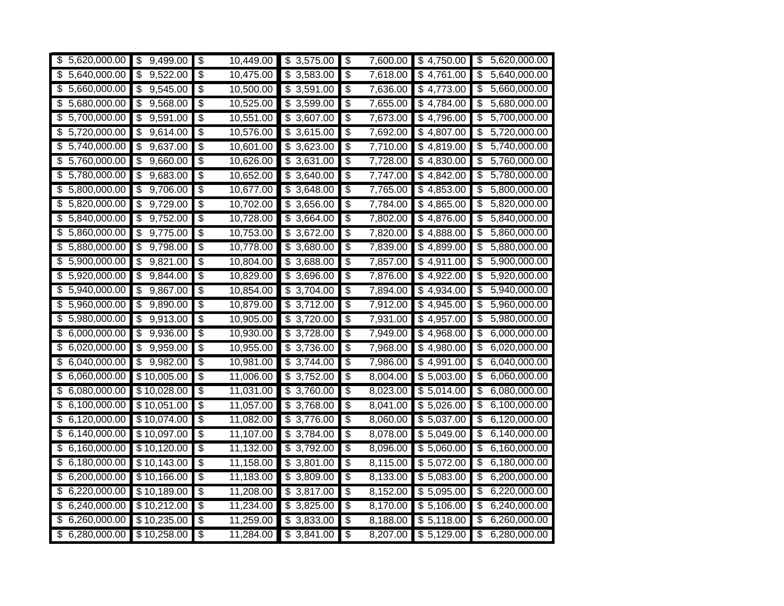| \$                                               | $\boldsymbol{\mathsf{S}}$              | \$                                            | \$                                  | \$                                                 | \$4,750.00             | \$                                       |
|--------------------------------------------------|----------------------------------------|-----------------------------------------------|-------------------------------------|----------------------------------------------------|------------------------|------------------------------------------|
| 5,620,000.00                                     | 9,499.00                               | 10,449.00                                     | 3,575.00                            | 7,600.00                                           |                        | 5,620,000.00                             |
| 5,640,000.00                                     | \$                                     | $\boldsymbol{\mathsf{S}}$                     | \$                                  | \$                                                 | \$4,761.00             | \$                                       |
| $\overline{\mathbf{S}}$                          | 9,522.00                               | 10,475.00                                     | 3,583.00                            | 7,618.00                                           |                        | 5,640,000.00                             |
| \$5,660,000.00                                   | 9,545.00<br>\$                         | s)<br>10,500.00                               | \$3,591.00                          | \$<br>7,636.00                                     | \$4,773.00             | 5,660,000.00<br>\$                       |
| 5,680,000.00                                     | $\boldsymbol{\mathsf{S}}$              | \$                                            | 3,599.00                            | \$                                                 | \$4,784.00             | \$                                       |
| \$                                               | 9,568.00                               | 10,525.00                                     | \$                                  | 7,655.00                                           |                        | 5,680,000.00                             |
| 5,700,000.00                                     | $\boldsymbol{\mathsf{S}}$              | \$                                            | 3,607.00                            | \$                                                 | \$4,796.00             | \$                                       |
| \$                                               | 9,591.00                               | 10,551.00                                     | \$                                  | 7,673.00                                           |                        | 5,700,000.00                             |
| \$                                               | \$                                     | $\overline{\mathcal{C}}$                      | \$                                  | $\overline{\$}$                                    | \$4,807.00             | \$                                       |
| 5,720,000.00                                     | 9,614.00                               | 10,576.00                                     | 3,615.00                            | 7,692.00                                           |                        | 5,720,000.00                             |
| \$                                               | \$                                     | \$                                            | \$                                  | $\overline{\$}$                                    | \$4,819.00             | \$                                       |
| 5,740,000.00                                     | 9,637.00                               | 10,601.00                                     | 3,623.00                            | 7,710.00                                           |                        | 5,740,000.00                             |
| 5,760,000.00                                     | $\boldsymbol{\mathsf{S}}$              | $\boldsymbol{\mathsf{S}}$                     | 3,631.00                            | \$                                                 | \$4,830.00             | \$                                       |
| \$                                               | 9,660.00                               | 10,626.00                                     | \$                                  | 7,728.00                                           |                        | 5,760,000.00                             |
| 5,780,000.00                                     | $\boldsymbol{\mathsf{S}}$              | \$                                            | 3,640.00                            | $\overline{\mathbf{3}}$                            | \$4,842.00             | \$                                       |
| \$                                               | 9,683.00                               | 10,652.00                                     | \$                                  | 7,747.00                                           |                        | 5,780,000.00                             |
| 5,800,000.00                                     | \$                                     | \$                                            | 3,648.00                            | \$                                                 | \$4,853.00             | \$                                       |
| \$                                               | 9,706.00                               | 10,677.00                                     | \$                                  | 7,765.00                                           |                        | 5,800,000.00                             |
| \$                                               | \$                                     | \$                                            | \$                                  | $\overline{\boldsymbol{\theta}}$                   | \$4,865.00             | \$                                       |
| 5,820,000.00                                     | 9,729.00                               | 10,702.00                                     | 3,656.00                            | 7,784.00                                           |                        | 5,820,000.00                             |
| 5,840,000.00                                     | \$                                     | $\frac{1}{2}$                                 | \$                                  | ऊ                                                  | \$4,876.00             | \$                                       |
| \$                                               | 9,752.00                               | 10,728.00                                     | 3,664.00                            | 7,802.00                                           |                        | 5,840,000.00                             |
| 5,860,000.00                                     | $\boldsymbol{\mathsf{S}}$              | s)                                            | 3,672.00                            | \$                                                 | \$4,888.00             | \$                                       |
| \$                                               | 9,775.00                               | 10,753.00                                     | \$                                  | 7,820.00                                           |                        | 5,860,000.00                             |
| 5,880,000.00                                     | \$                                     | $\overline{\mathcal{C}}$                      | 3,680.00                            | 7,839.00                                           | \$4,899.00             | \$                                       |
| \$                                               | 9,798.00                               | 10,778.00                                     | \$                                  | \$                                                 |                        | 5,880,000.00                             |
| 5,900,000.00                                     | $\boldsymbol{\mathsf{S}}$              | \$                                            | 3,688.00                            | \$                                                 | \$4,911.00             | \$                                       |
| \$                                               | 9,821.00                               | 10,804.00                                     | \$                                  | 7,857.00                                           |                        | 5,900,000.00                             |
| 5,920,000.00                                     | \$                                     | \$                                            | \$                                  | \$                                                 | \$4,922.00             | \$                                       |
| \$                                               | 9,844.00                               | 10,829.00                                     | 3,696.00                            | 7,876.00                                           |                        | 5,920,000.00                             |
| 5,940,000.00                                     | \$                                     | \$                                            | \$                                  | \$                                                 | \$4,934.00             | \$                                       |
| \$                                               | 9,867.00                               | 10,854.00                                     | 3,704.00                            | 7,894.00                                           |                        | 5,940,000.00                             |
| 5,960,000.00                                     | $\overline{\boldsymbol{\mathfrak{s}}}$ | \$                                            | \$                                  | \$                                                 | \$4,945.00             | \$                                       |
| \$                                               | 9,890.00                               | 10,879.00                                     | 3,712.00                            | 7,912.00                                           |                        | 5,960,000.00                             |
| 5,980,000.00                                     | \$                                     | \$                                            | 3,720.00                            | \$                                                 | \$4,957.00             | \$                                       |
| \$                                               | 9,913.00                               | 10,905.00                                     | \$                                  | 7,931.00                                           |                        | 5,980,000.00                             |
| 6,000,000.00                                     | $\boldsymbol{\mathsf{S}}$              | \$                                            | \$                                  | \$                                                 | \$4,968.00             | \$                                       |
| \$                                               | 9,936.00                               | 10,930.00                                     | 3,728.00                            | 7,949.00                                           |                        | 6,000,000.00                             |
| 6,020,000.00                                     | 9,959.00                               | \$                                            | 3,736.00                            | $\overline{\$}$                                    | \$4,980.00             | $\overline{\$}$                          |
| \$                                               | \$                                     | 10,955.00                                     | \$                                  | 7,968.00                                           |                        | 6,020,000.00                             |
| 6,040,000.00                                     | \$                                     | \$                                            | \$                                  | $\overline{\$}$                                    | \$4,991.00             | \$                                       |
| \$                                               | 9,982.00                               | 10,981.00                                     | 3,744.00                            | 7,986.00                                           |                        | 6,040,000.00                             |
| 6,060,000.00<br>\$                               | \$10,005.00                            | \$<br>11,006.00                               | 3,752.00<br>\$                      | \$<br>8,004.00                                     | \$5,003.00             | \$<br>6,060,000.00                       |
| 6,080,000.00<br>\$                               | \$10,028.00                            | \$<br>11,031.00                               | \$<br>3,760.00                      | \$<br>8,023.00                                     | \$5,014.00             | 6,080,000.00<br>\$                       |
| 6,100,000.00<br>\$                               | \$10,051.00                            | \$<br>11,057.00                               | 3,768.00<br>\$                      | \$<br>8,041.00                                     | \$5,026.00             | \$<br>6,100,000.00                       |
| 6,120,000.00<br>\$                               | \$10,074.00                            | \$<br>11,082.00                               | \$<br>3,776.00                      | \$<br>8,060.00                                     | \$5,037.00             | \$<br>6,120,000.00                       |
| $\overline{\boldsymbol{\theta}}$<br>6,140,000.00 | \$10,097.00                            | $\overline{\boldsymbol{\theta}}$<br>11,107.00 | \$<br>3,784.00                      | ऊ<br>8,078.00                                      | \$5,049.00             | \$<br>6,140,000.00                       |
| 6,160,000.00<br>\$                               | \$10,120.00                            | \$<br>11,132.00                               | \$<br>3,792.00                      | \$<br>8,096.00                                     | \$5,060.00             | \$<br>6,160,000.00                       |
| 6,180,000.00<br>\$                               | \$10,143.00                            | $\overline{\mathcal{C}}$<br>11,158.00         | \$<br>3,801.00                      | 8,115.00<br>\$                                     | \$5,072.00             | $\overline{\$}$<br>6,180,000.00          |
| 6,200,000.00<br>\$                               | \$10,166.00                            | \$<br>11,183.00                               | $\overline{3,809.00}$<br>\$         | \$<br>8,133.00                                     | \$5,083.00             | \$<br>6,200,000.00                       |
| 6,220,000.00<br>\$                               | \$10,189.00                            | \$<br>11,208.00                               | $\overline{3,817.00}$<br>\$         | \$<br>8,152.00                                     | $\overline{$}5,095.00$ | $\overline{\mathcal{E}}$<br>6,220,000.00 |
| 6,240,000.00<br>\$                               | \$10,212.00                            | \$<br>11,234.00                               | \$<br>3,825.00                      | $\overline{\mathcal{E}}$<br>8,170.00               | \$5,106.00             | \$<br>6,240,000.00                       |
| 6,260,000.00<br>\$                               | \$10,235.00                            | \$<br>11,259.00                               | 3,833.00<br>\$                      | \$<br>8,188.00                                     | \$5,118.00             | \$<br>6,260,000.00                       |
| 6,280,000.00<br>$\overline{\boldsymbol{\theta}}$ | \$10,258.00                            | 11,284.00<br>\$                               | $\overline{\mathbf{3}}$<br>3,841.00 | $\overline{\boldsymbol{\mathfrak{s}}}$<br>8,207.00 | \$5,129.00             | 6,280,000.00<br>\$                       |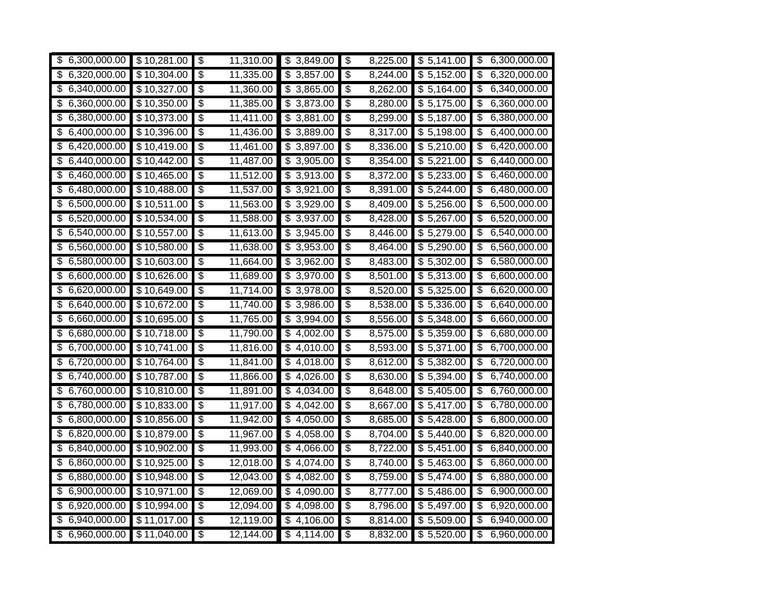| \$<br>6,300,000.00                      | $\overline{$}10,281.00$ | $\frac{1}{2}$                    | 11,310.00 | \$<br>3,849.00                        | \$                                     | $\overline{8,}225.00$ | \$5,141.00             | \$                      | 6,300,000.00 |
|-----------------------------------------|-------------------------|----------------------------------|-----------|---------------------------------------|----------------------------------------|-----------------------|------------------------|-------------------------|--------------|
| $\overline{\mathbf{3}}$<br>6,320,000.00 | \$10,304.00             | $\frac{1}{2}$                    | 11,335.00 | \$<br>3,857.00                        | $\boldsymbol{\mathsf{\$}}$             | 8,244.00              | \$5,152.00             | \$                      | 6,320,000.00 |
| \$6,340,000.00                          | \$10,327.00             | \$                               | 11,360.00 | \$3,865.00                            | \$                                     | 8,262.00              | \$5,164.00             | \$                      | 6,340,000.00 |
| 6,360,000.00<br>\$                      | \$10,350.00             | \$                               | 11,385.00 | 3,873.00<br>\$                        | \$                                     | 8,280.00              | \$5,175.00             | \$                      | 6,360,000.00 |
| \$<br>6,380,000.00                      | \$10,373.00             | $\frac{1}{2}$                    | 11,411.00 | \$<br>3,881.00                        | \$                                     | 8,299.00              | \$5,187.00             | \$                      | 6,380,000.00 |
| \$<br>6,400,000.00                      | \$10,396.00             | $\overline{\$}$                  | 11,436.00 | \$<br>3,889.00                        | $\overline{\mathcal{C}}$               | 8,317.00              | \$5,198.00             | \$                      | 6,400,000.00 |
| $\overline{\mathbf{e}}$<br>6,420,000.00 | \$10,419.00             | \$                               | 11,461.00 | $\overline{\mathbf{e}}$<br>3,897.00   | \$                                     | 8,336.00              | \$5,210.00             | \$                      | 6,420,000.00 |
| 6,440,000.00<br>\$                      | \$10,442.00             | $\overline{\mathbf{3}}$          | 11,487.00 | \$<br>3,905.00                        | $\boldsymbol{\mathsf{\$}}$             | 8,354.00              | \$5,221.00             | \$                      | 6,440,000.00 |
| 6,460,000.00<br>\$                      | \$10,465.00             | $\overline{\mathbf{3}}$          | 11,512.00 | 3,913.00<br>\$                        | \$                                     | 8,372.00              | \$5,233.00             | $\overline{\mathbf{e}}$ | 6,460,000.00 |
| \$<br>6,480,000.00                      | \$10,488.00             | $\overline{\boldsymbol{\theta}}$ | 11,537.00 | 3,921.00<br>\$                        | \$                                     | 8,391.00              | \$5,244.00             | \$                      | 6,480,000.00 |
| \$<br>6,500,000.00                      | \$10,511.00             | \$                               | 11,563.00 | \$<br>3,929.00                        | \$                                     | 8,409.00              | \$5,256.00             | \$                      | 6,500,000.00 |
| \$<br>6,520,000.00                      | \$10,534.00             | \$                               | 11,588.00 | \$<br>3,937.00                        | $\overline{\boldsymbol{\mathfrak{s}}}$ | 8,428.00              | \$5,267.00             | \$                      | 6,520,000.00 |
| 6,540,000.00<br>\$                      | \$10,557.00             | \$                               | 11,613.00 | \$3,945.00                            | $\boldsymbol{\mathsf{\$}}$             | 8,446.00              | \$5,279.00             | $\overline{\mathbf{e}}$ | 6,540,000.00 |
| 6,560,000.00<br>\$                      | \$10,580.00             | $\overline{\$}$                  | 11,638.00 | 3,953.00<br>\$                        | \$                                     | 8,464.00              | \$5,290.00             | $\overline{\mathbf{e}}$ | 6,560,000.00 |
| \$<br>6,580,000.00                      | \$10,603.00             | \$                               | 11,664.00 | \$<br>3,962.00                        | \$                                     | 8,483.00              | $\overline{$}5,302.00$ | \$                      | 6,580,000.00 |
| \$<br>6,600,000.00                      | \$10,626.00             | \$                               | 11,689.00 | \$<br>3,970.00                        | \$                                     | 8,501.00              | \$5,313.00             | \$                      | 6,600,000.00 |
| \$<br>6,620,000.00                      | \$10,649.00             | \$                               | 11,714.00 | $\overline{\mathbf{e}}$<br>3,978.00   | \$                                     | 8,520.00              | \$5,325.00             | \$                      | 6,620,000.00 |
| 6,640,000.00<br>\$                      | \$10,672.00             | \$                               | 11,740.00 | \$<br>3,986.00                        | \$                                     | 8,538.00              | \$5,336.00             | \$                      | 6,640,000.00 |
| 6,660,000.00<br>\$                      | \$10,695.00             | $\overline{\mathbf{3}}$          | 11,765.00 | \$<br>3,994.00                        | \$                                     | 8,556.00              | \$5,348.00             | \$                      | 6,660,000.00 |
| 6,680,000.00<br>\$                      | \$10,718.00             | \$                               | 11,790.00 | \$<br>4,002.00                        | $\boldsymbol{\mathsf{\$}}$             | 8,575.00              | \$5,359.00             | \$                      | 6,680,000.00 |
| 6,700,000.00<br>\$                      | \$10,741.00             | $\overline{\$}$                  | 11,816.00 | 4,010.00<br>\$                        | $\overline{\$}$                        | 8,593.00              | \$5,371.00             | $\overline{\$}$         | 6,700,000.00 |
| $\overline{\mathbf{e}}$<br>6,720,000.00 | \$10,764.00             | \$                               | 11,841.00 | \$<br>4,018.00                        | $\overline{\$}$                        | 8,612.00              | \$5,382.00             | \$                      | 6,720,000.00 |
| 6,740,000.00<br>\$                      | \$10,787.00             | \$                               | 11,866.00 | \$4,026.00                            | $\boldsymbol{\mathsf{\$}}$             | 8,630.00              | \$5,394.00             | $\overline{\mathbf{e}}$ | 6,740,000.00 |
| 6,760,000.00<br>\$                      | \$10,810.00             | $\overline{\mathbf{3}}$          | 11,891.00 | $\boldsymbol{\mathsf{S}}$<br>4,034.00 | \$                                     | 8,648.00              | $\overline{$}5,405.00$ | $\overline{\mathbf{e}}$ | 6,760,000.00 |
| 6,780,000.00<br>\$                      | \$10,833.00             | $\overline{\mathbf{e}}$          | 11,917.00 | \$<br>4,042.00                        | \$                                     | 8,667.00              | \$5,417.00             | \$                      | 6,780,000.00 |
| 6,800,000.00<br>\$                      | \$10,856.00             | \$                               | 11,942.00 | \$4,050.00                            | \$                                     | 8,685.00              | \$5,428.00             | \$                      | 6,800,000.00 |
| \$<br>6,820,000.00                      | \$10,879.00             | $\overline{\boldsymbol{\theta}}$ | 11,967.00 | \$<br>4,058.00                        | \$                                     | 8,704.00              | \$5,440.00             | \$                      | 6,820,000.00 |
| 6,840,000.00<br>\$                      | \$10,902.00             | $\overline{\boldsymbol{\theta}}$ | 11,993.00 | \$<br>4,066.00                        | \$                                     | 8,722.00              | \$5,451.00             | \$                      | 6,840,000.00 |
| 6,860,000.00<br>\$                      | \$10,925.00             | $\overline{\$}$                  | 12,018.00 | \$<br>4,074.00                        | s)                                     | 8,740.00              | \$5,463.00             | \$                      | 6,860,000.00 |
| \$<br>6,880,000.00                      | \$10,948.00             | \$                               | 12,043.00 | \$<br>4,082.00                        | \$                                     | 8,759.00              | \$5,474.00             | \$                      | 6,880,000.00 |
| 6,900,000.00<br>\$                      | \$10,971.00             | \$                               | 12,069.00 | \$<br>4,090.00                        | \$                                     | 8,777.00              | \$5,486.00             | $\overline{\$}$         | 6,900,000.00 |
| 6,920,000.00<br>\$                      | \$10,994.00             | $\overline{\mathbf{3}}$          | 12,094.00 | \$<br>4,098.00                        | \$                                     | 8,796.00              | \$5,497.00             | \$                      | 6,920,000.00 |
| 6,940,000.00<br>\$                      | \$11,017.00             | $\overline{\mathbf{3}}$          | 12,119.00 | $\overline{\mathcal{G}}$<br>4,106.00  | \$                                     | 8,814.00              | \$5,509.00             | \$                      | 6,940,000.00 |
| 6,960,000.00<br>\$                      | \$11,040.00             | \$                               | 12,144.00 | \$4,114.00                            | \$                                     | 8,832.00              | \$5,520.00             | \$                      | 6,960,000.00 |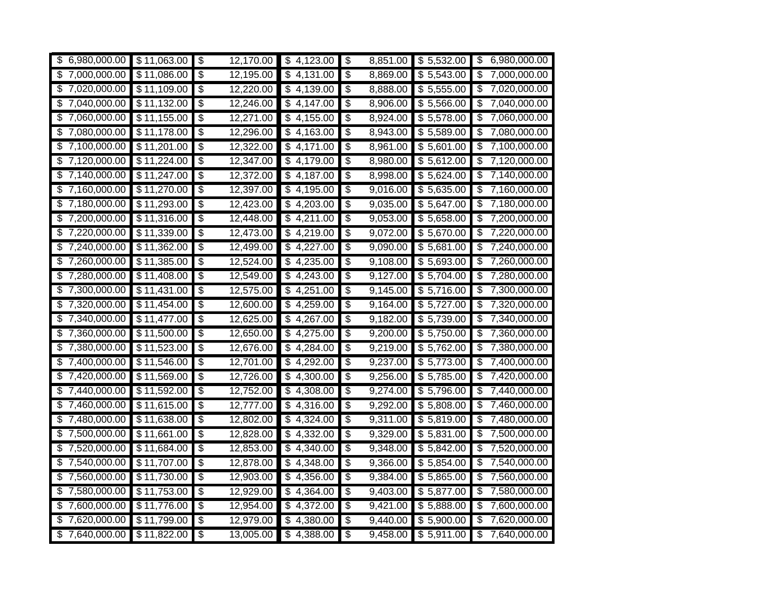| $\overline{\boldsymbol{\theta}}$<br>6,980,000.00 | \$11,063.00               | \$                                     | 12,170.00 | \$4,123.00                            | $\boldsymbol{\theta}$      | 8,851.00              | \$5,532.00             | \$                       | 6,980,000.00 |
|--------------------------------------------------|---------------------------|----------------------------------------|-----------|---------------------------------------|----------------------------|-----------------------|------------------------|--------------------------|--------------|
| 7,000,000.00<br>s)                               | \$11,086.00               | \$                                     | 12,195.00 | \$4,131.00                            | \$                         | 8,869.00              | \$5,543.00             | $\overline{\$}$          | 7,000,000.00 |
| 7,020,000.00<br>\$                               | \$11,109.00               | \$                                     | 12,220.00 | \$4,139.00                            | s)                         | 8,888.00              | \$5,555.00             | $\overline{\mathcal{S}}$ | 7,020,000.00 |
| \$<br>7,040,000.00                               | \$11,132.00               | \$                                     | 12,246.00 | \$<br>4,147.00                        | $\boldsymbol{\theta}$      | 8,906.00              | \$5,566.00             | \$                       | 7,040,000.00 |
| 7,060,000.00<br>- \$                             | \$11,155.00               | \$                                     | 12,271.00 | 4,155.00<br>\$                        | $\boldsymbol{\mathsf{\$}}$ | 8,924.00              | $\overline{$}5,578.00$ | \$                       | 7,060,000.00 |
| \$<br>7,080,000.00                               | \$11,178.00               | \$                                     | 12,296.00 | \$<br>4,163.00                        | \$                         | 8,943.00              | \$5,589.00             | \$                       | 7,080,000.00 |
| \$<br>7,100,000.00                               | \$11,201.00               | \$                                     | 12,322.00 | \$4,171.00                            | \$                         | 8,961.00              | \$5,601.00             | \$                       | 7,100,000.00 |
| 7,120,000.00<br>\$                               | \$11,224.00               | \$                                     | 12,347.00 | \$4,179.00                            | \$                         | 8,980.00              | \$5,612.00             | \$                       | 7,120,000.00 |
| 7,140,000.00<br>\$                               | \$11,247.00               | \$                                     | 12,372.00 | $\boldsymbol{\mathsf{S}}$<br>4,187.00 | $\boldsymbol{\theta}$      | 8,998.00              | \$5,624.00             | \$                       | 7,140,000.00 |
| 7,160,000.00<br>\$                               | \$11,270.00               | \$                                     | 12,397.00 | \$<br>4,195.00                        | \$                         | 9,016.00              | \$5,635.00             | \$                       | 7,160,000.00 |
| ऊ<br>7,180,000.00                                | \$11,293.00               | \$                                     | 12,423.00 | \$<br>4,203.00                        | s)                         | 9,035.00              | \$5,647.00             | $\overline{\$}$          | 7,180,000.00 |
| \$<br>7,200,000.00                               | \$11,316.00               | $\overline{\boldsymbol{\mathfrak{s}}}$ | 12,448.00 | $\boldsymbol{\mathsf{S}}$<br>4,211.00 | $\boldsymbol{\mathsf{\$}}$ | 9,053.00              | $\overline{$}5,658.00$ | $\overline{\mathbf{3}}$  | 7,200,000.00 |
| 7,220,000.00<br>- \$                             | \$11,339.00               | \$                                     | 12,473.00 | \$4,219.00                            | \$                         | 9,072.00              | \$5,670.00             | \$                       | 7,220,000.00 |
| 7,240,000.00<br>\$                               | \$11,362.00               | \$                                     | 12,499.00 | 4,227.00<br>\$                        | \$                         | 9,090.00              | \$5,681.00             | \$                       | 7,240,000.00 |
| 7,260,000.00<br>\$                               | \$11,385.00               | \$                                     | 12,524.00 | 4,235.00<br>\$                        | $\boldsymbol{\mathsf{\$}}$ | 9,108.00              | \$5,693.00             | \$                       | 7,260,000.00 |
| -\$<br>7,280,000.00                              | \$11,408.00               | \$                                     | 12,549.00 | \$<br>4,243.00                        | $\boldsymbol{\theta}$      | 9,127.00              | \$5,704.00             | \$                       | 7,280,000.00 |
| \$<br>7,300,000.00                               | \$11,431.00               | \$                                     | 12,575.00 | \$<br>4,251.00                        | \$                         | 9,145.00              | \$5,716.00             | \$                       | 7,300,000.00 |
| 7,320,000.00<br>- \$                             | \$11,454.00               | \$                                     | 12,600.00 | \$4,259.00                            | \$                         | 9,164.00              | \$5,727.00             | \$                       | 7,320,000.00 |
| s)<br>7,340,000.00                               | \$11,477.00               | $\overline{\boldsymbol{\theta}}$       | 12,625.00 | 4,267.00<br>\$                        | \$                         | 9,182.00              | \$5,739.00             | \$                       | 7,340,000.00 |
| \$<br>7,360,000.00                               | $\overline{\$}$ 11,500.00 | \$                                     | 12,650.00 | $\boldsymbol{\mathsf{S}}$<br>4,275.00 | $\boldsymbol{\mathsf{\$}}$ | 9,200.00              | \$5,750.00             | \$                       | 7,360,000.00 |
| 7,380,000.00<br>- \$                             | \$11,523.00               | \$                                     | 12,676.00 | \$<br>4,284.00                        | \$                         | 9,219.00              | \$5,762.00             | $\overline{\mathbf{3}}$  | 7,380,000.00 |
| \$<br>7,400,000.00                               | \$11,546.00               | \$                                     | 12,701.00 | \$<br>4,292.00                        | \$                         | 9,237.00              | \$5,773.00             | \$                       | 7,400,000.00 |
| 7,420,000.00<br>\$                               | \$11,569.00               | \$                                     | 12,726.00 | \$4,300.00                            | $\boldsymbol{\mathsf{\$}}$ | 9,256.00              | \$5,785.00             | $\overline{\mathbf{3}}$  | 7,420,000.00 |
| 7,440,000.00<br>\$                               | \$11,592.00               | \$                                     | 12,752.00 | 4,308.00<br>\$                        | \$                         | $\overline{9,}274.00$ | $\overline{$}5,796.00$ | \$                       | 7,440,000.00 |
| 7,460,000.00<br>\$                               | \$11,615.00               | $\overline{\mathcal{E}}$               | 12,777.00 | \$<br>4,316.00                        | \$                         | 9,292.00              | \$5,808.00             | \$                       | 7,460,000.00 |
| 7,480,000.00<br>- \$                             | \$11,638.00               | \$                                     | 12,802.00 | 4,324.00<br>\$                        | $\boldsymbol{\theta}$      | 9,311.00              | \$5,819.00             | \$                       | 7,480,000.00 |
| \$<br>7,500,000.00                               | \$11,661.00               | $\frac{1}{2}$                          | 12,828.00 | \$<br>4,332.00                        | \$                         | 9,329.00              | \$5,831.00             | \$                       | 7,500,000.00 |
| \$<br>7,520,000.00                               | \$11,684.00               | $\overline{\mathcal{E}}$               | 12,853.00 | \$<br>4,340.00                        | s)                         | 9,348.00              | \$5,842.00             | $\overline{\$}$          | 7,520,000.00 |
| 7,540,000.00<br>\$                               | \$11,707.00               | \$                                     | 12,878.00 | \$4,348.00                            | \$                         | 9,366.00              | \$5,854.00             | $\overline{\mathcal{S}}$ | 7,540,000.00 |
| \$<br>7,560,000.00                               | \$11,730.00               | \$                                     | 12,903.00 | \$<br>4,356.00                        | \$                         | 9,384.00              | \$5,865.00             | \$                       | 7,560,000.00 |
| \$<br>7,580,000.00                               | \$11,753.00               | $\overline{\boldsymbol{\mathfrak{s}}}$ | 12,929.00 | 4,364.00<br>\$                        | $\boldsymbol{\mathsf{\$}}$ | 9,403.00              | \$5,877.00             | \$                       | 7,580,000.00 |
| \$<br>7.600.000.00                               | \$11,776.00               | \$                                     | 12,954.00 | \$<br>4,372.00                        | \$                         | 9,421.00              | \$5,888.00             | \$                       | 7,600,000.00 |
| \$<br>7,620,000.00                               | \$11,799.00               | \$                                     | 12,979.00 | \$<br>4,380.00                        | s)                         | 9,440.00              | \$5,900.00             | \$                       | 7,620,000.00 |
| 7,640,000.00<br>s)                               | \$11,822.00               | \$                                     | 13,005.00 | \$4,388.00                            | \$                         | 9,458.00              | \$5,911.00             | \$                       | 7,640,000.00 |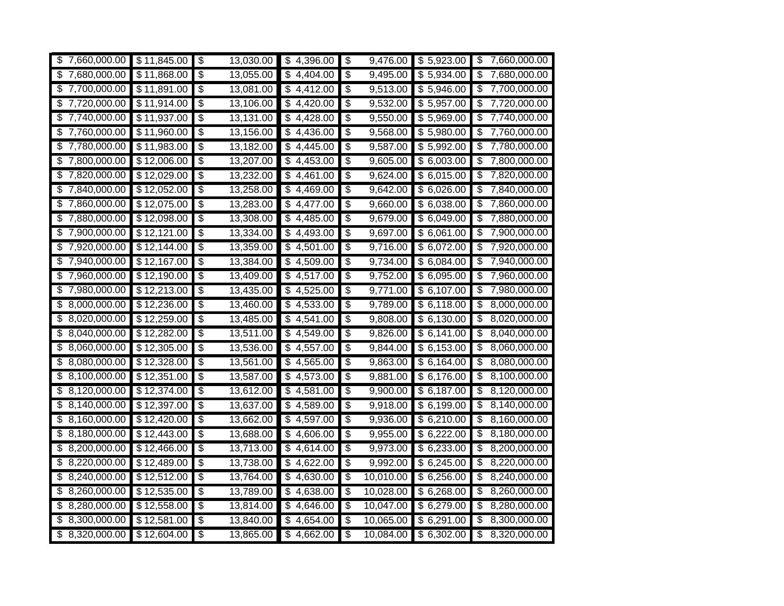| \$<br>7,660,000.00                               | \$11,845.00 | \$                                     | 13,030.00 | \$<br>4,396.00                        | \$                                     | 9,476.00              | \$5,923.00             | \$                               | 7,660,000.00 |
|--------------------------------------------------|-------------|----------------------------------------|-----------|---------------------------------------|----------------------------------------|-----------------------|------------------------|----------------------------------|--------------|
| $\overline{\boldsymbol{\theta}}$<br>7,680,000.00 | \$11,868.00 | \$                                     | 13,055.00 | $\overline{$}4,404.00$                | \$                                     | 9,495.00              | $\overline{$}5,934.00$ | $\overline{\mathbf{3}}$          | 7,680,000.00 |
| 7,700,000.00<br>\$                               | \$11,891.00 | \$                                     | 13,081.00 | \$4,412.00                            | \$                                     | 9,513.00              | \$5,946.00             | \$                               | 7,700,000.00 |
| $\overline{\mathfrak{s}}$<br>7,720,000.00        | \$11,914.00 | \$                                     | 13,106.00 | \$<br>4,420.00                        | \$                                     | 9,532.00              | $\overline{$}5,957.00$ | \$                               | 7,720,000.00 |
| 7,740,000.00<br>\$                               | \$11,937.00 | \$                                     | 13,131.00 | \$<br>4,428.00                        | $\boldsymbol{\mathsf{\$}}$             | 9,550.00              | \$5,969.00             | \$                               | 7,740,000.00 |
| \$<br>7,760,000.00                               | \$11,960.00 | $\overline{\$}$                        | 13,156.00 | \$<br>4,436.00                        | \$                                     | 9,568.00              | \$5,980.00             | \$                               | 7,760,000.00 |
| \$<br>7,780,000.00                               | \$11,983.00 | \$                                     | 13,182.00 | \$4,445.00                            | s)                                     | 9,587.00              | \$5,992.00             | \$                               | 7,780,000.00 |
| 7,800,000.00<br>\$                               | \$12,006.00 | \$                                     | 13,207.00 | \$4,453.00                            | \$                                     | $\overline{9,605.00}$ | \$6,003.00             | \$                               | 7,800,000.00 |
| s)<br>7,820,000.00                               | \$12,029.00 | \$                                     | 13,232.00 | $\boldsymbol{\mathsf{S}}$<br>4,461.00 | $\frac{1}{2}$                          | 9,624.00              | \$6,015.00             | \$                               | 7,820,000.00 |
| 7,840,000.00<br>\$                               | \$12,052.00 | $\overline{\boldsymbol{\theta}}$       | 13,258.00 | \$<br>4,469.00                        | \$                                     | 9,642.00              | \$6,026.00             | $\overline{\mathbf{3}}$          | 7,840,000.00 |
| ऊ<br>7,860,000.00                                | \$12,075.00 | $\overline{\$}$                        | 13,283.00 | \$<br>4,477.00                        | $\overline{\$}$                        | 9,660.00              | \$6,038.00             | \$                               | 7,860,000.00 |
| \$<br>7,880,000.00                               | \$12,098.00 | $\overline{\boldsymbol{\mathfrak{s}}}$ | 13,308.00 | \$<br>4,485.00                        | $\boldsymbol{\mathsf{\$}}$             | 9,679.00              | \$6,049.00             | \$                               | 7,880,000.00 |
| 7,900,000.00<br>\$                               | \$12,121.00 | \$                                     | 13,334.00 | \$4,493.00                            | \$                                     | 9,697.00              | \$6,061.00             | \$                               | 7,900,000.00 |
| 7,920,000.00<br>\$                               | \$12,144.00 | \$                                     | 13,359.00 | 4,501.00<br>\$                        | \$                                     | 9,716.00              | \$6,072.00             | $\overline{\mathbf{3}}$          | 7,920,000.00 |
| 7,940,000.00<br>\$                               | \$12,167.00 | \$                                     | 13,384.00 | 4,509.00<br>\$                        | \$                                     | 9,734.00              | \$6,084.00             | \$                               | 7,940,000.00 |
| \$<br>7,960,000.00                               | \$12,190.00 | $\overline{\boldsymbol{\theta}}$       | 13,409.00 | \$<br>4,517.00                        | \$                                     | 9,752.00              | \$6,095.00             | \$                               | 7,960,000.00 |
| \$<br>7,980,000.00                               | \$12,213.00 | \$                                     | 13,435.00 | \$<br>4,525.00                        | \$                                     | 9,771.00              | \$6,107.00             | \$                               | 7,980,000.00 |
| 8,000,000.00<br>\$                               | \$12,236.00 | $\overline{\mathcal{S}}$               | 13,460.00 | \$4,533.00                            | \$                                     | 9,789.00              | \$6,118.00             | $\overline{\mathcal{S}}$         | 8,000,000.00 |
| \$<br>8,020,000.00                               | \$12,259.00 | \$                                     | 13,485.00 | \$<br>4,541.00                        | \$                                     | 9,808.00              | \$6,130.00             | $\overline{\boldsymbol{\theta}}$ | 8,020,000.00 |
| 8,040,000.00<br>\$                               | \$12,282.00 | \$                                     | 13,511.00 | \$<br>4,549.00                        | $\boldsymbol{\mathsf{\$}}$             | 9,826.00              | \$6,141.00             | \$                               | 8,040,000.00 |
| \$<br>8,060,000.00                               | \$12,305.00 | \$                                     | 13,536.00 | \$<br>4,557.00                        | \$                                     | 9,844.00              | \$6,153.00             | \$                               | 8,060,000.00 |
| \$<br>8,080,000.00                               | \$12,328.00 | \$                                     | 13,561.00 | \$<br>4,565.00                        | \$                                     | 9,863.00              | \$6,164.00             | \$                               | 8,080,000.00 |
| 8,100,000.00<br>\$                               | \$12,351.00 | $\overline{\boldsymbol{\mathfrak{s}}}$ | 13,587.00 | $\overline{4,573.00}$                 | \$                                     | 9,881.00              | \$6,176.00             | $\overline{\mathbf{3}}$          | 8,100,000.00 |
| \$<br>8,120,000.00                               | \$12,374.00 | \$                                     | 13,612.00 | 4,581.00<br>\$                        | \$                                     | 9,900.00              | \$6,187.00             | $\overline{\boldsymbol{\theta}}$ | 8,120,000.00 |
| 8,140,000.00<br>\$                               | \$12,397.00 | $\overline{\mathcal{E}}$               | 13,637.00 | \$<br>4,589.00                        | \$                                     | 9,918.00              | \$6,199.00             | \$                               | 8,140,000.00 |
| \$<br>8,160,000.00                               | \$12,420.00 | \$                                     | 13,662.00 | \$<br>4,597.00                        | \$                                     | $\overline{9,}936.00$ | \$6,210.00             | \$                               | 8,160,000.00 |
| \$<br>8,180,000.00                               | \$12,443.00 | \$                                     | 13,688.00 | \$<br>4,606.00                        | $\boldsymbol{\mathsf{\$}}$             | 9,955.00              | \$6,222.00             | \$                               | 8,180,000.00 |
| 8,200,000.00<br>\$                               | \$12,466.00 | \$                                     | 13,713.00 | \$4,614.00                            | \$                                     | 9,973.00              | \$6,233.00             | $\overline{\mathbf{3}}$          | 8,200,000.00 |
| 8,220,000.00<br>\$                               | \$12,489.00 | \$                                     | 13,738.00 | \$<br>4,622.00                        | \$                                     | 9,992.00              | \$6,245.00             | \$                               | 8,220,000.00 |
| 8,240,000.00<br>\$                               | \$12,512.00 | $\overline{\boldsymbol{\mathfrak{s}}}$ | 13,764.00 | $\boldsymbol{\mathsf{S}}$<br>4,630.00 | $\overline{\boldsymbol{\mathfrak{s}}}$ | 10,010.00             | \$6,256.00             | \$                               | 8,240,000.00 |
| 8,260,000.00<br>-\$                              | \$12,535.00 | \$                                     | 13,789.00 | \$<br>4,638.00                        | $\boldsymbol{\mathsf{\$}}$             | 10,028.00             | \$6,268.00             | $\overline{\mathbf{3}}$          | 8,260,000.00 |
| \$<br>8,280,000.00                               | \$12,558.00 | $\overline{\$}$                        | 13,814.00 | \$<br>4,646.00                        | $\overline{\mathcal{C}}$               | 10,047.00             | \$6,279.00             | \$                               | 8,280,000.00 |
| \$<br>8,300,000.00                               | \$12,581.00 | $\overline{\mathbf{3}}$                | 13,840.00 | \$4,654.00                            | \$                                     | 10,065.00             | \$6,291.00             | $\overline{\$}$                  | 8,300,000.00 |
| \$8,320,000.00                                   | \$12,604.00 | \$                                     | 13,865.00 | \$4,662.00                            | $\frac{1}{2}$                          | 10,084.00             | \$6,302.00             | \$                               | 8,320,000.00 |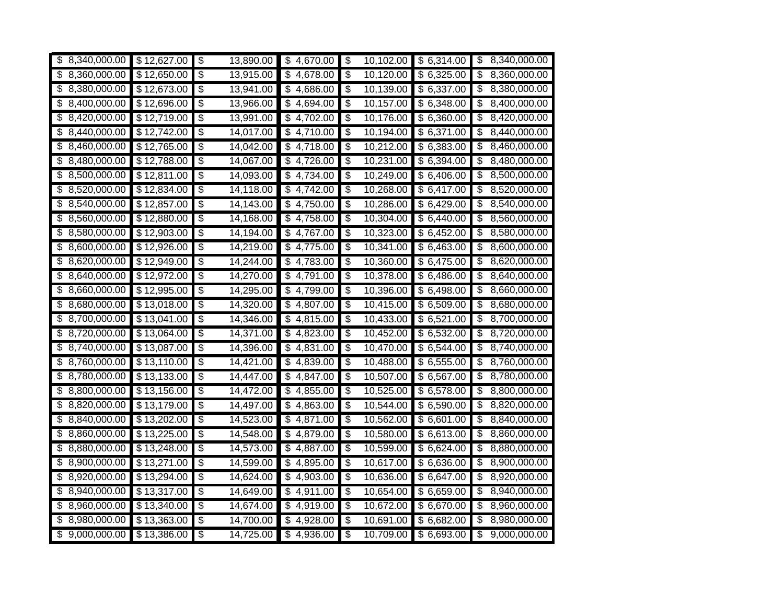| \$<br>8,340,000.00                       | \$12,627.00 | \$                               | 13,890.00 | 4,670.00<br>\$                       | \$                                     | 10,102.00 | \$6,314.00             | \$              | 8,340,000.00 |
|------------------------------------------|-------------|----------------------------------|-----------|--------------------------------------|----------------------------------------|-----------|------------------------|-----------------|--------------|
| 8,360,000.00<br>\$                       | \$12,650.00 | \$                               | 13,915.00 | 4,678.00<br>\$                       | \$                                     | 10,120.00 | \$6,325.00             | \$              | 8,360,000.00 |
| 8,380,000.00<br>\$                       | \$12,673.00 | \$                               | 13,941.00 | \$<br>4,686.00                       | \$                                     | 10,139.00 | \$6,337.00             | \$              | 8,380,000.00 |
| 8,400,000.00<br>\$                       | \$12,696.00 | $\overline{\boldsymbol{\theta}}$ | 13,966.00 | 4,694.00<br>\$                       | \$                                     | 10,157.00 | \$6,348.00             | \$              | 8,400,000.00 |
| 8,420,000.00<br>\$                       | \$12,719.00 | \$                               | 13,991.00 | 4,702.00<br>\$                       | $\boldsymbol{\mathsf{\$}}$             | 10,176.00 | \$6,360.00             | \$              | 8,420,000.00 |
| \$<br>8,440,000.00                       | \$12,742.00 | $\overline{\$}$                  | 14,017.00 | \$<br>4,710.00                       | \$                                     | 10,194.00 | \$6,371.00             | \$              | 8,440,000.00 |
| 8,460,000.00<br>\$                       | \$12,765.00 | \$                               | 14,042.00 | $\overline{\mathcal{S}}$<br>4,718.00 | \$                                     | 10,212.00 | \$6,383.00             | \$              | 8,460,000.00 |
| 8,480,000.00<br>\$                       | \$12,788.00 | \$                               | 14,067.00 | \$4,726.00                           | \$                                     | 10,231.00 | \$6,394.00             | \$              | 8,480,000.00 |
| 8,500,000.00<br>\$                       | \$12,811.00 | $\overline{\boldsymbol{\theta}}$ | 14,093.00 | \$<br>4,734.00                       | \$                                     | 10,249.00 | \$6,406.00             | \$              | 8,500,000.00 |
| 8,520,000.00<br>\$                       | \$12,834.00 | \$                               | 14,118.00 | \$<br>4,742.00                       | s)                                     | 10,268.00 | \$6,417.00             | \$              | 8,520,000.00 |
| \$<br>8,540,000.00                       | \$12,857.00 | \$                               | 14,143.00 | 4,750.00<br>\$                       | $\overline{\$}$                        | 10,286.00 | \$6,429.00             | \$              | 8,540,000.00 |
| 8,560,000.00<br>\$                       | \$12,880.00 | $\overline{\boldsymbol{\theta}}$ | 14,168.00 | \$<br>4,758.00                       | ऊ                                      | 10,304.00 | \$6,440.00             | \$              | 8,560,000.00 |
| 8,580,000.00<br>\$                       | \$12,903.00 | $\boldsymbol{\mathsf{S}}$        | 14,194.00 | 4,767.00<br>\$                       | \$                                     | 10,323.00 | \$6,452.00             | \$              | 8,580,000.00 |
| 8,600,000.00<br>\$                       | \$12,926.00 | \$                               | 14,219.00 | \$<br>4,775.00                       | \$                                     | 10,341.00 | \$6,463.00             | \$              | 8,600,000.00 |
| 8,620,000.00<br>\$                       | \$12,949.00 | \$                               | 14,244.00 | \$<br>4,783.00                       | $\boldsymbol{\mathsf{\$}}$             | 10,360.00 | \$6,475.00             | \$              | 8,620,000.00 |
| 8,640,000.00<br>\$                       | \$12,972.00 | $\overline{\boldsymbol{\theta}}$ | 14,270.00 | \$<br>4,791.00                       | \$                                     | 10,378.00 | \$6,486.00             | \$              | 8,640,000.00 |
| \$<br>8,660,000.00                       | \$12,995.00 | \$                               | 14,295.00 | \$<br>4,799.00                       | \$                                     | 10,396.00 | \$6,498.00             | \$              | 8,660,000.00 |
| 8,680,000.00<br>\$                       | \$13,018.00 | $\overline{\mathcal{E}}$         | 14,320.00 | \$4,807.00                           | \$                                     | 10,415.00 | \$6,509.00             | $\overline{\$}$ | 8,680,000.00 |
| \$<br>8,700,000.00                       | \$13,041.00 | \$                               | 14,346.00 | \$<br>4,815.00                       | \$                                     | 10,433.00 | \$6,521.00             | \$              | 8,700,000.00 |
| 8,720,000.00<br>\$                       | \$13,064.00 | \$                               | 14,371.00 | 4,823.00<br>\$                       | $\boldsymbol{\mathsf{\$}}$             | 10,452.00 | $\overline{$}6,532.00$ | \$              | 8,720,000.00 |
| 8,740,000.00<br>\$                       | \$13,087.00 | \$                               | 14,396.00 | \$<br>4,831.00                       | \$                                     | 10,470.00 | \$6,544.00             | \$              | 8,740,000.00 |
| 8,760,000.00<br>\$                       | \$13,110.00 | \$                               | 14,421.00 | \$<br>4,839.00                       | \$                                     | 10,488.00 | \$6,555.00             | \$              | 8,760,000.00 |
| 8,780,000.00<br>\$                       | \$13,133.00 | s)                               | 14,447.00 | \$4,847.00                           | \$                                     | 10,507.00 | \$6,567.00             | \$              | 8,780,000.00 |
| 8,800,000.00<br>\$                       | \$13,156.00 | \$                               | 14,472.00 | \$<br>4,855.00                       | \$                                     | 10,525.00 | \$6,578.00             | \$              | 8,800,000.00 |
| 8,820,000.00<br>\$                       | \$13,179.00 | \$                               | 14,497.00 | \$<br>4,863.00                       | \$                                     | 10,544.00 | \$6,590.00             | \$              | 8,820,000.00 |
| \$<br>8,840,000.00                       | \$13,202.00 | $\overline{\boldsymbol{\theta}}$ | 14,523.00 | \$<br>4,871.00                       | $\boldsymbol{\mathsf{\$}}$             | 10,562.00 | \$6,601.00             | \$              | 8,840,000.00 |
| \$<br>8,860,000.00                       | \$13,225.00 | \$                               | 14,548.00 | \$<br>4,879.00                       | $\boldsymbol{\mathsf{\$}}$             | 10,580.00 | \$6,613.00             | \$              | 8,860,000.00 |
| 8,880,000.00<br>\$                       | \$13,248.00 | \$                               | 14,573.00 | \$<br>4,887.00                       | \$                                     | 10,599.00 | \$6,624.00             | \$              | 8,880,000.00 |
| 8,900,000.00<br>\$                       | \$13,271.00 | \$                               | 14,599.00 | \$<br>4,895.00                       | \$                                     | 10,617.00 | \$6,636.00             | \$              | 8,900,000.00 |
| \$<br>8,920,000.00                       | \$13,294.00 | $\overline{\boldsymbol{\theta}}$ | 14,624.00 | \$<br>4,903.00                       | $\overline{\boldsymbol{\mathfrak{s}}}$ | 10,636.00 | \$6,647.00             | \$              | 8,920,000.00 |
| 8,940,000.00<br>\$                       | \$13,317.00 | $\overline{\boldsymbol{\theta}}$ | 14,649.00 | \$<br>4,911.00                       | ऊ                                      | 10,654.00 | \$6,659.00             | \$              | 8,940,000.00 |
| $\overline{\mathcal{S}}$<br>8,960,000.00 | \$13,340.00 | $\overline{\mathcal{E}}$         | 14,674.00 | \$<br>4,919.00                       | $\overline{\mathcal{E}}$               | 10,672.00 | \$6,670.00             | \$              | 8,960,000.00 |
| 8,980,000.00<br>\$                       | \$13,363.00 | \$                               | 14,700.00 | \$4,928.00                           | \$                                     | 10,691.00 | \$6,682.00             | \$              | 8,980,000.00 |
| \$<br>9,000,000.00                       | \$13,386.00 | \$                               | 14,725.00 | \$4,936.00                           | $\overline{\$}$                        | 10,709.00 | \$6,693.00             | \$              | 9,000,000.00 |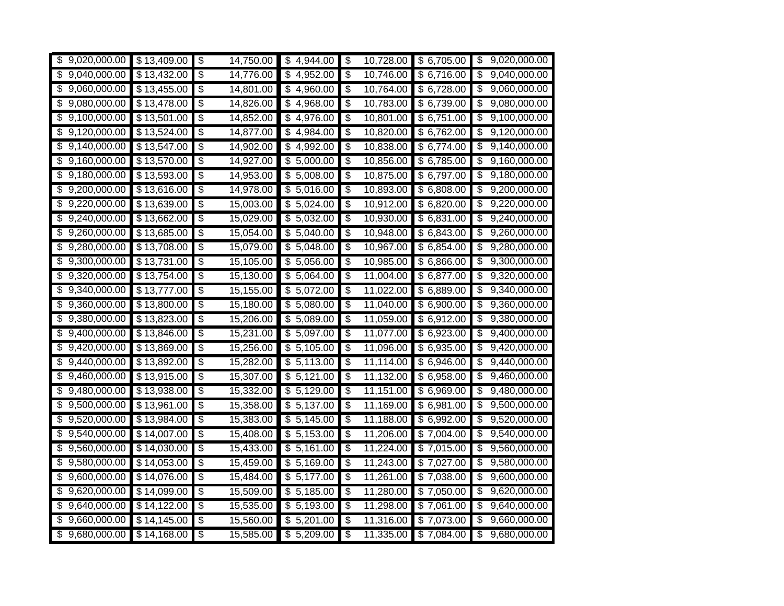| \$<br>9,020,000.00 | \$13,409.00 | \$                               | 14,750.00               | 4,944.00<br>\$                       | \$                               | 10,728.00 | \$6,705.00              | \$<br>9,020,000.00 |
|--------------------|-------------|----------------------------------|-------------------------|--------------------------------------|----------------------------------|-----------|-------------------------|--------------------|
| 9,040,000.00<br>\$ | \$13,432.00 | \$                               | 14,776.00               | 4,952.00<br>\$                       | s)                               | 10,746.00 | \$6,716.00              | \$<br>9,040,000.00 |
| 9,060,000.00<br>\$ | \$13,455.00 | s)                               | 14,801.00               | \$4,960.00                           | \$                               | 10,764.00 | \$6,728.00              | \$<br>9,060,000.00 |
| 9,080,000.00<br>\$ | \$13,478.00 | $\overline{\boldsymbol{\theta}}$ | 14,826.00               | 4,968.00<br>\$                       | \$                               | 10,783.00 | \$6,739.00              | \$<br>9,080,000.00 |
| 9,100,000.00<br>\$ | \$13,501.00 | $\boldsymbol{\mathsf{S}}$        | 14,852.00               | 4,976.00<br>\$                       | $\boldsymbol{\mathsf{\$}}$       | 10,801.00 | \$6,751.00              | \$<br>9,100,000.00 |
| \$<br>9,120,000.00 | \$13,524.00 | \$                               | $\overline{14}, 877.00$ | \$<br>4,984.00                       | \$                               | 10,820.00 | \$6,762.00              | \$<br>9,120,000.00 |
| 9,140,000.00<br>\$ | \$13,547.00 | \$                               | 14,902.00               | \$<br>4,992.00                       | \$                               | 10,838.00 | \$6,774.00              | \$<br>9,140,000.00 |
| 9,160,000.00<br>\$ | \$13,570.00 | \$                               | 14,927.00               | 5,000.00<br>\$                       | \$                               | 10,856.00 | \$6,785.00              | \$<br>9,160,000.00 |
| 9,180,000.00<br>\$ | \$13,593.00 | $\overline{\boldsymbol{\theta}}$ | 14,953.00               | $\overline{5,008.00}$<br>\$          | \$                               | 10,875.00 | \$6,797.00              | \$<br>9,180,000.00 |
| 9,200,000.00<br>\$ | \$13,616.00 | \$                               | 14,978.00               | \$<br>5,016.00                       | s)                               | 10,893.00 | \$6,808.00              | \$<br>9,200,000.00 |
| \$<br>9,220,000.00 | \$13,639.00 | \$                               | 15,003.00               | \$<br>$\overline{5,024.00}$          | s)                               | 10,912.00 | \$6,820.00              | \$<br>9,220,000.00 |
| 9,240,000.00<br>\$ | \$13,662.00 | s)                               | 15,029.00               | \$<br>$\overline{5}$ ,032.00         | $\overline{\mathfrak{s}}$        | 10,930.00 | \$6,831.00              | \$<br>9,240,000.00 |
| 9,260,000.00<br>\$ | \$13,685.00 | \$                               | 15,054.00               | \$5,040.00                           | \$                               | 10,948.00 | \$6,843.00              | \$<br>9,260,000.00 |
| 9,280,000.00<br>\$ | \$13,708.00 | $\overline{\mathbf{e}}$          | 15,079.00               | 5,048.00<br>\$                       | \$                               | 10,967.00 | \$6,854.00              | \$<br>9,280,000.00 |
| \$<br>9,300,000.00 | \$13,731.00 | \$                               | 15,105.00               | \$<br>5,056.00                       | \$                               | 10,985.00 | \$6,866.00              | \$<br>9,300,000.00 |
| 9,320,000.00<br>\$ | \$13,754.00 | \$                               | 15,130.00               | \$<br>5,064.00                       | $\boldsymbol{\mathsf{\$}}$       | 11,004.00 | \$6,877.00              | \$<br>9,320,000.00 |
| \$<br>9,340,000.00 | \$13,777.00 | \$                               | 15,155.00               | \$<br>5,072.00                       | \$                               | 11,022.00 | \$6,889.00              | \$<br>9,340,000.00 |
| 9,360,000.00<br>\$ | \$13,800.00 | \$                               | 15,180.00               | \$5,080.00                           | \$                               | 11,040.00 | \$6,900.00              | \$<br>9,360,000.00 |
| 9,380,000.00<br>\$ | \$13,823.00 | $\overline{\boldsymbol{\theta}}$ | 15,206.00               | 5,089.00<br>\$                       | \$                               | 11,059.00 | $\overline{$}6,912.00$  | \$<br>9,380,000.00 |
| \$<br>9,400,000.00 | \$13,846.00 | \$                               | 15,231.00               | $\overline{5,097.00}$<br>\$          | \$                               | 11,077.00 | \$6,923.00              | \$<br>9,400,000.00 |
| 9,420,000.00<br>\$ | \$13,869.00 | \$                               | 15,256.00               | \$<br>5,105.00                       | s)                               | 11,096.00 | \$6,935.00              | \$<br>9,420,000.00 |
| \$<br>9,440,000.00 | \$13,892.00 | \$                               | 15,282.00               | \$<br>5,113.00                       | s)                               | 11,114.00 | \$6,946.00              | \$<br>9,440,000.00 |
| \$9,460,000.00     | \$13,915.00 | \$                               | 15,307.00               | \$5,121.00                           | $\frac{1}{2}$                    | 11,132.00 | \$6,958.00              | \$<br>9,460,000.00 |
| 9,480,000.00<br>\$ | \$13,938.00 | $\overline{\boldsymbol{\theta}}$ | 15,332.00               | 5,129.00<br>\$                       | $\overline{\boldsymbol{\theta}}$ | 11,151.00 | \$6,969.00              | \$<br>9,480,000.00 |
| \$<br>9,500,000.00 | \$13,961.00 | \$                               | 15,358.00               | \$5,137.00                           | \$                               | 11,169.00 | \$6,981.00              | \$<br>9,500,000.00 |
| 9,520,000.00<br>\$ | \$13,984.00 | \$                               | 15,383.00               | 5,145.00<br>\$                       | $\boldsymbol{\mathsf{\$}}$       | 11,188.00 | $\overline{$}$ 6,992.00 | \$<br>9,520,000.00 |
| \$<br>9,540,000.00 | \$14,007.00 | \$                               | 15,408.00               | \$<br>5,153.00                       | $\boldsymbol{\mathsf{\$}}$       | 11,206.00 | \$7,004.00              | \$<br>9,540,000.00 |
| 9,560,000.00<br>\$ | \$14,030.00 | \$                               | 15,433.00               | \$<br>5,161.00                       | \$                               | 11,224.00 | \$7,015.00              | \$<br>9,560,000.00 |
| 9,580,000.00<br>\$ | \$14,053.00 | $\overline{\$}$                  | 15,459.00               | \$5,169.00                           | \$                               | 11,243.00 | \$7,027.00              | \$<br>9,580,000.00 |
| \$<br>9,600,000.00 | \$14,076.00 | \$                               | 15,484.00               | \$<br>5,177.00                       | \$                               | 11,261.00 | \$7,038.00              | \$<br>9,600,000.00 |
| 9,620,000.00<br>\$ | \$14,099.00 | \$                               | 15,509.00               | \$<br>5,185.00                       | $\boldsymbol{\mathsf{\$}}$       | 11,280.00 | \$7,050.00              | \$<br>9,620,000.00 |
| 9,640,000.00<br>\$ | \$14,122.00 | \$                               | 15,535.00               | \$<br>5,193.00                       | $\overline{\$}$                  | 11,298.00 | \$7,061.00              | \$<br>9,640,000.00 |
| \$<br>9,660,000.00 | \$14,145.00 | \$                               | 15,560.00               | $\overline{\mathcal{S}}$<br>5,201.00 | \$                               | 11,316.00 | \$7,073.00              | \$<br>9,660,000.00 |
| 9,680,000.00<br>\$ | \$14,168.00 | $\overline{\boldsymbol{\theta}}$ | 15,585.00               | \$5,209.00                           | \$                               | 11,335.00 | \$7,084.00              | \$<br>9,680,000.00 |